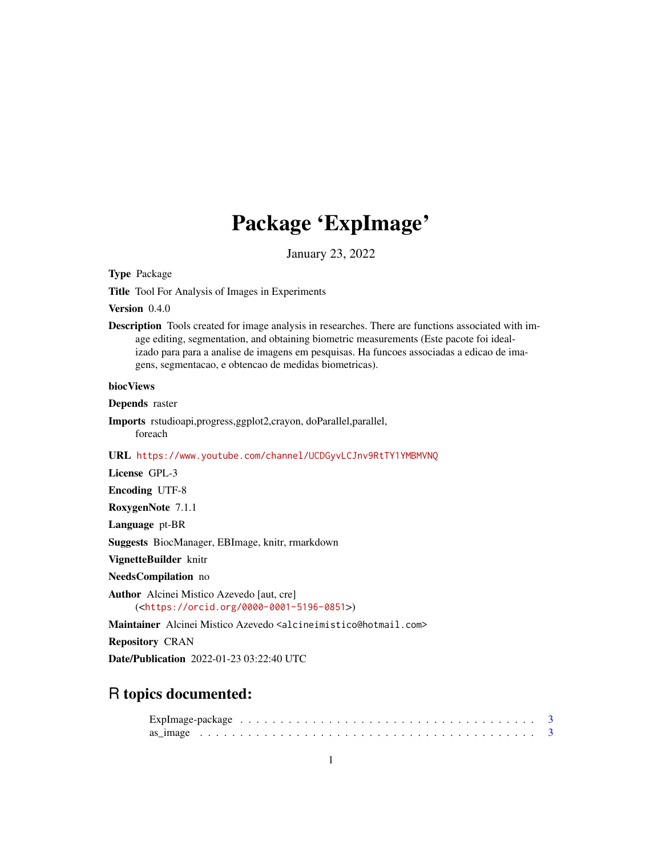# Package 'ExpImage'

January 23, 2022

<span id="page-0-0"></span>Type Package

Title Tool For Analysis of Images in Experiments

Version 0.4.0

Description Tools created for image analysis in researches. There are functions associated with image editing, segmentation, and obtaining biometric measurements (Este pacote foi idealizado para para a analise de imagens em pesquisas. Ha funcoes associadas a edicao de imagens, segmentacao, e obtencao de medidas biometricas).

#### biocViews

Depends raster

Imports rstudioapi,progress,ggplot2,crayon, doParallel,parallel, foreach

URL <https://www.youtube.com/channel/UCDGyvLCJnv9RtTY1YMBMVNQ>

License GPL-3

Encoding UTF-8

RoxygenNote 7.1.1

Language pt-BR

Suggests BiocManager, EBImage, knitr, rmarkdown

VignetteBuilder knitr

NeedsCompilation no

Author Alcinei Mistico Azevedo [aut, cre] (<<https://orcid.org/0000-0001-5196-0851>>)

Maintainer Alcinei Mistico Azevedo <alcineimistico@hotmail.com>

Repository CRAN

Date/Publication 2022-01-23 03:22:40 UTC

# R topics documented: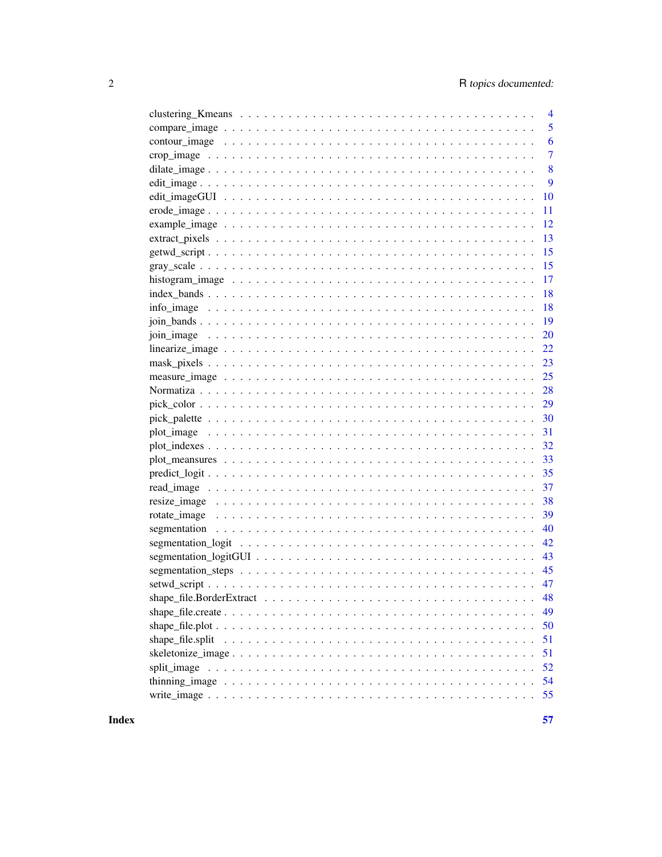|                                                                                                                          | $\overline{4}$ |
|--------------------------------------------------------------------------------------------------------------------------|----------------|
|                                                                                                                          | 5              |
|                                                                                                                          | 6              |
|                                                                                                                          | 7              |
|                                                                                                                          | 8              |
|                                                                                                                          | 9              |
|                                                                                                                          | 10             |
|                                                                                                                          | 11             |
|                                                                                                                          | 12             |
|                                                                                                                          | 13             |
|                                                                                                                          | 15             |
|                                                                                                                          | 15             |
|                                                                                                                          | 17             |
|                                                                                                                          | 18             |
| info_image $\dots \dots \dots \dots \dots \dots \dots \dots \dots \dots \dots \dots \dots \dots \dots \dots \dots \dots$ | 18             |
|                                                                                                                          | 19             |
|                                                                                                                          | 20             |
|                                                                                                                          | 22             |
|                                                                                                                          | 23             |
|                                                                                                                          | 25             |
|                                                                                                                          | 28             |
|                                                                                                                          | 29             |
|                                                                                                                          | 30             |
|                                                                                                                          | 31             |
|                                                                                                                          |                |
|                                                                                                                          | 33             |
|                                                                                                                          |                |
|                                                                                                                          | 37             |
|                                                                                                                          | 38             |
|                                                                                                                          | 39             |
|                                                                                                                          | 40             |
|                                                                                                                          | 42             |
|                                                                                                                          | 43             |
|                                                                                                                          | 45             |
|                                                                                                                          | 47             |
|                                                                                                                          | 48             |
|                                                                                                                          | 49             |
|                                                                                                                          | 50             |
| shape_file.split                                                                                                         | 51             |
|                                                                                                                          | 51             |
|                                                                                                                          | 52             |
|                                                                                                                          | 54             |
|                                                                                                                          | 55             |
|                                                                                                                          |                |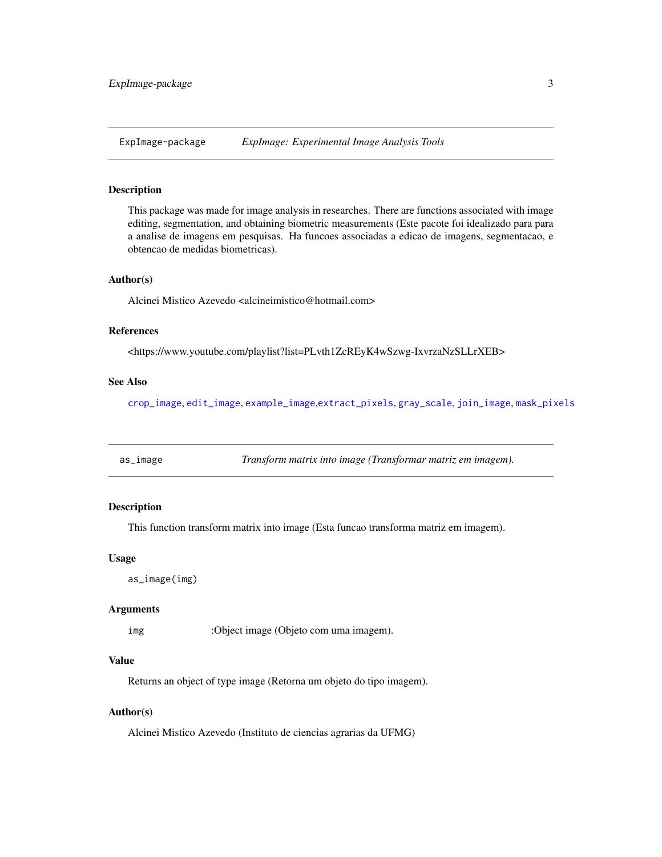<span id="page-2-0"></span>

# Description

This package was made for image analysis in researches. There are functions associated with image editing, segmentation, and obtaining biometric measurements (Este pacote foi idealizado para para a analise de imagens em pesquisas. Ha funcoes associadas a edicao de imagens, segmentacao, e obtencao de medidas biometricas).

#### Author(s)

Alcinei Mistico Azevedo <alcineimistico@hotmail.com>

#### References

<https://www.youtube.com/playlist?list=PLvth1ZcREyK4wSzwg-IxvrzaNzSLLrXEB>

#### See Also

[crop\\_image](#page-6-1), [edit\\_image](#page-8-1), [example\\_image](#page-11-1),[extract\\_pixels](#page-12-1), [gray\\_scale](#page-14-1), [join\\_image](#page-19-1), [mask\\_pixels](#page-22-1)

as\_image *Transform matrix into image (Transformar matriz em imagem).*

# Description

This function transform matrix into image (Esta funcao transforma matriz em imagem).

#### Usage

```
as_image(img)
```
#### Arguments

img :Object image (Objeto com uma imagem).

#### Value

Returns an object of type image (Retorna um objeto do tipo imagem).

#### Author(s)

Alcinei Mistico Azevedo (Instituto de ciencias agrarias da UFMG)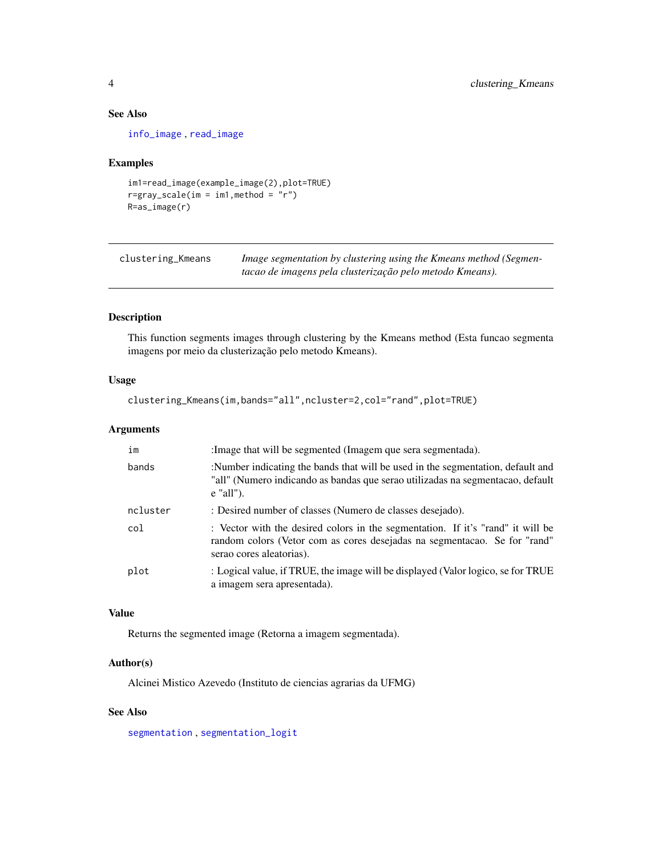# See Also

[info\\_image](#page-17-1) , [read\\_image](#page-36-1)

#### Examples

```
im1=read_image(example_image(2),plot=TRUE)
r=gray\_scale(im = im1, method = "r")R=as_image(r)
```

| clustering_Kmeans | Image segmentation by clustering using the Kmeans method (Segmen- |
|-------------------|-------------------------------------------------------------------|
|                   | tacao de imagens pela clusterização pelo metodo Kmeans).          |

# Description

This function segments images through clustering by the Kmeans method (Esta funcao segmenta imagens por meio da clusterização pelo metodo Kmeans).

#### Usage

```
clustering_Kmeans(im,bands="all",ncluster=2,col="rand",plot=TRUE)
```
# Arguments

| im       | : Image that will be segmented (Imagem que sera segmentada).                                                                                                                             |
|----------|------------------------------------------------------------------------------------------------------------------------------------------------------------------------------------------|
| bands    | :Number indicating the bands that will be used in the segmentation, default and<br>"all" (Numero indicando as bandas que serao utilizadas na segmentacao, default<br>$e$ "all").         |
| ncluster | : Desired number of classes (Numero de classes desejado).                                                                                                                                |
| col      | : Vector with the desired colors in the segmentation. If it's "rand" it will be<br>random colors (Vetor com as cores desejadas na segmentacao. Se for "rand"<br>serao cores aleatorias). |
| plot     | : Logical value, if TRUE, the image will be displayed (Valor logico, se for TRUE<br>a imagem sera apresentada).                                                                          |

# Value

Returns the segmented image (Retorna a imagem segmentada).

#### Author(s)

Alcinei Mistico Azevedo (Instituto de ciencias agrarias da UFMG)

# See Also

[segmentation](#page-39-1) , [segmentation\\_logit](#page-41-1)

<span id="page-3-0"></span>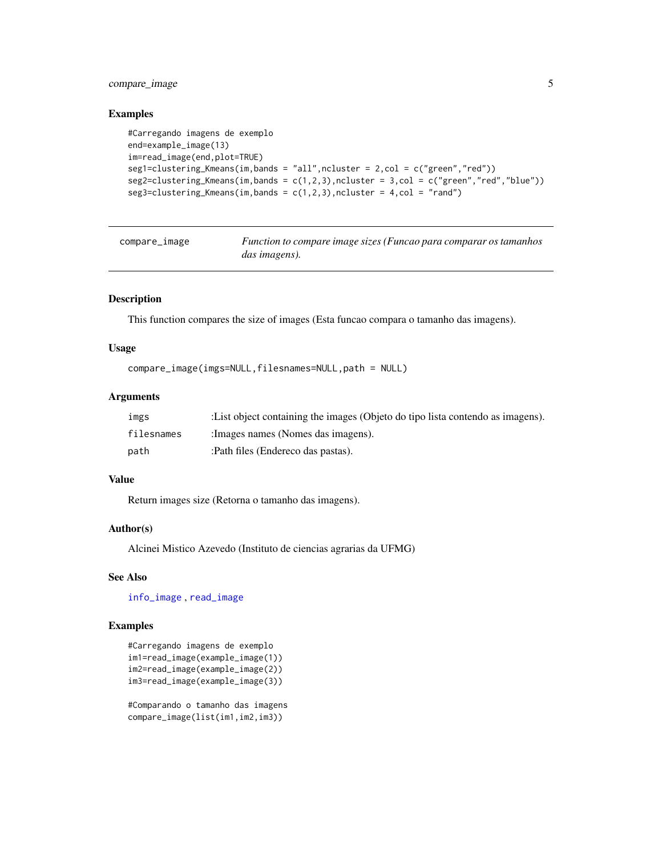# <span id="page-4-0"></span>compare\_image 5

#### Examples

```
#Carregando imagens de exemplo
end=example_image(13)
im=read_image(end,plot=TRUE)
seg1=clustering_Kmeans(im,bands = "all",ncluster = 2,col = c("green","red"))
seg2=clustering_Kmeans(im,bands = c(1,2,3),ncluster = 3,col = c("green","red","blue"))
seg3=clustering_Kmeans(im,bands = c(1,2,3), ncluster = 4, col = "rand")
```
compare\_image *Function to compare image sizes (Funcao para comparar os tamanhos das imagens).*

#### Description

This function compares the size of images (Esta funcao compara o tamanho das imagens).

#### Usage

```
compare_image(imgs=NULL,filesnames=NULL,path = NULL)
```
#### Arguments

| ımgs       | : List object containing the images (Objeto do tipo lista contendo as imagens). |
|------------|---------------------------------------------------------------------------------|
| filesnames | : Images names (Nomes das imagens).                                             |
| path       | :Path files (Endereco das pastas).                                              |

#### Value

Return images size (Retorna o tamanho das imagens).

#### Author(s)

Alcinei Mistico Azevedo (Instituto de ciencias agrarias da UFMG)

# See Also

[info\\_image](#page-17-1) , [read\\_image](#page-36-1)

# Examples

```
#Carregando imagens de exemplo
im1=read_image(example_image(1))
im2=read_image(example_image(2))
im3=read_image(example_image(3))
```
#Comparando o tamanho das imagens compare\_image(list(im1,im2,im3))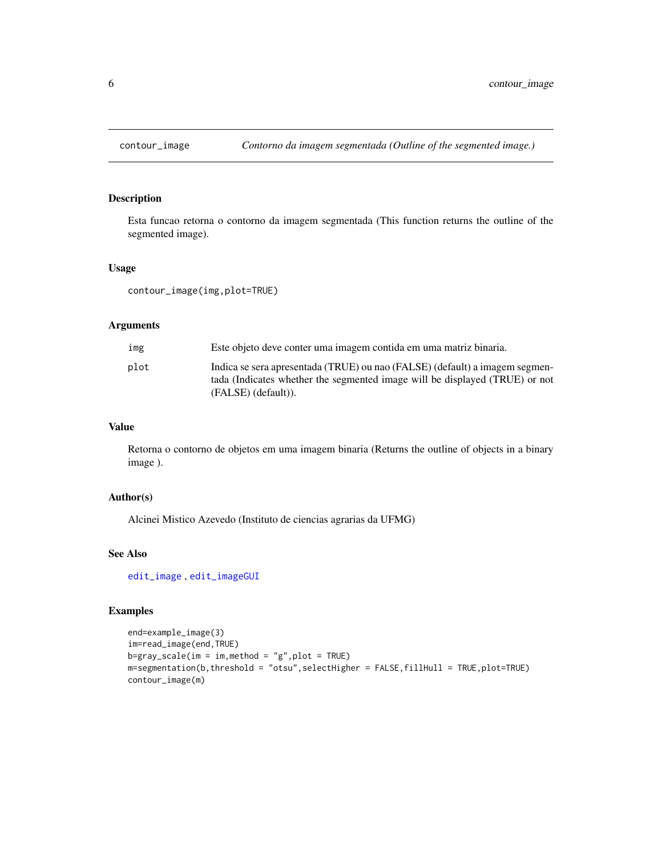<span id="page-5-0"></span>

#### Description

Esta funcao retorna o contorno da imagem segmentada (This function returns the outline of the segmented image).

#### Usage

contour\_image(img,plot=TRUE)

#### Arguments

| img  | Este objeto deve conter uma imagem contida em uma matriz binaria.                                                                                          |
|------|------------------------------------------------------------------------------------------------------------------------------------------------------------|
| plot | Indica se sera apresentada (TRUE) ou nao (FALSE) (default) a imagem segmen-<br>tada (Indicates whether the segmented image will be displayed (TRUE) or not |
|      | (FALSE) (default)).                                                                                                                                        |

# Value

Retorna o contorno de objetos em uma imagem binaria (Returns the outline of objects in a binary image ).

#### Author(s)

Alcinei Mistico Azevedo (Instituto de ciencias agrarias da UFMG)

#### See Also

[edit\\_image](#page-8-1) , [edit\\_imageGUI](#page-9-1)

```
end=example_image(3)
im=read_image(end,TRUE)
b=gray\_scale(im = im, method = "g", plot = TRUE)m=segmentation(b,threshold = "otsu",selectHigher = FALSE,fillHull = TRUE,plot=TRUE)
contour_image(m)
```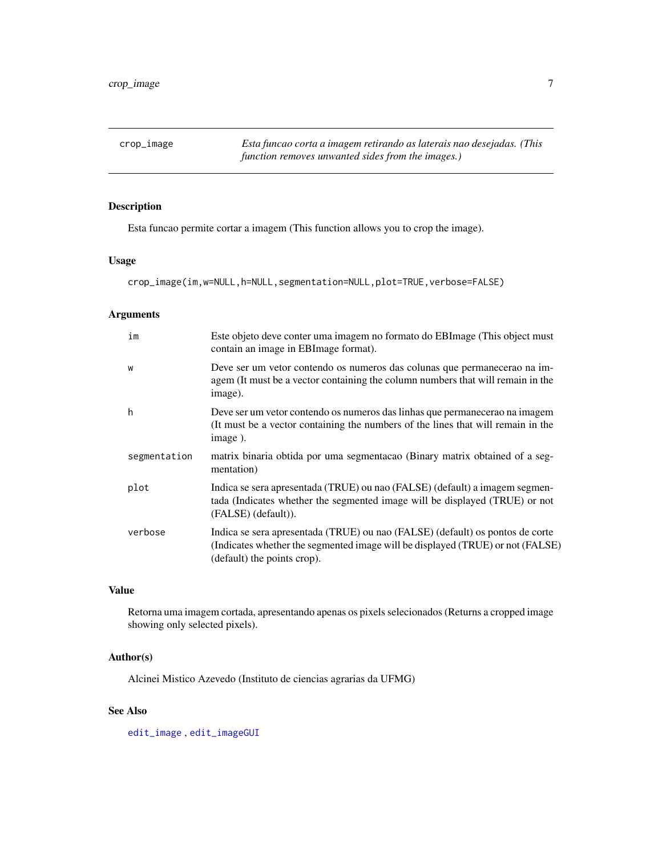<span id="page-6-1"></span><span id="page-6-0"></span>crop\_image *Esta funcao corta a imagem retirando as laterais nao desejadas. (This function removes unwanted sides from the images.)*

# Description

Esta funcao permite cortar a imagem (This function allows you to crop the image).

#### Usage

crop\_image(im,w=NULL,h=NULL,segmentation=NULL,plot=TRUE,verbose=FALSE)

# Arguments

| Este objeto deve conter uma imagem no formato do EBI mage (This object must<br>contain an image in EBI mage format).                                                                           |
|------------------------------------------------------------------------------------------------------------------------------------------------------------------------------------------------|
| Deve ser um vetor contendo os numeros das colunas que permanecerao na im-<br>agem (It must be a vector containing the column numbers that will remain in the<br>image).                        |
| Deve ser um vetor contendo os numeros das linhas que permanecerao na imagem<br>(It must be a vector containing the numbers of the lines that will remain in the<br>image).                     |
| matrix binaria obtida por uma segmentacao (Binary matrix obtained of a seg-<br>mentation)                                                                                                      |
| Indica se sera apresentada (TRUE) ou nao (FALSE) (default) a imagem segmen-<br>tada (Indicates whether the segmented image will be displayed (TRUE) or not<br>(FALSE) (default)).              |
| Indica se sera apresentada (TRUE) ou nao (FALSE) (default) os pontos de corte<br>(Indicates whether the segmented image will be displayed (TRUE) or not (FALSE)<br>(default) the points crop). |
|                                                                                                                                                                                                |

# Value

Retorna uma imagem cortada, apresentando apenas os pixels selecionados (Returns a cropped image showing only selected pixels).

#### Author(s)

Alcinei Mistico Azevedo (Instituto de ciencias agrarias da UFMG)

#### See Also

[edit\\_image](#page-8-1) , [edit\\_imageGUI](#page-9-1)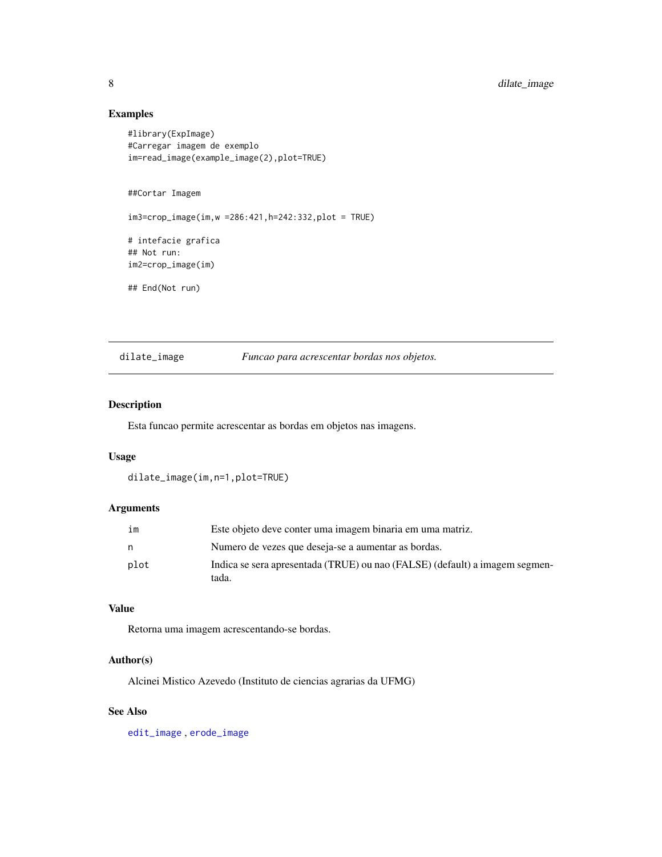# Examples

```
#library(ExpImage)
#Carregar imagem de exemplo
im=read_image(example_image(2),plot=TRUE)
##Cortar Imagem
im3=crop_image(im,w =286:421,h=242:332,plot = TRUE)
# intefacie grafica
## Not run:
im2=crop_image(im)
## End(Not run)
```
<span id="page-7-1"></span>dilate\_image *Funcao para acrescentar bordas nos objetos.*

# Description

Esta funcao permite acrescentar as bordas em objetos nas imagens.

#### Usage

dilate\_image(im,n=1,plot=TRUE)

#### Arguments

| im   | Este objeto deve conter uma imagem binaria em uma matriz.                            |
|------|--------------------------------------------------------------------------------------|
| n    | Numero de vezes que deseja-se a aumentar as bordas.                                  |
| plot | Indica se sera apresentada (TRUE) ou nao (FALSE) (default) a imagem segmen-<br>tada. |

#### Value

Retorna uma imagem acrescentando-se bordas.

#### Author(s)

Alcinei Mistico Azevedo (Instituto de ciencias agrarias da UFMG)

# See Also

[edit\\_image](#page-8-1) , [erode\\_image](#page-10-1)

<span id="page-7-0"></span>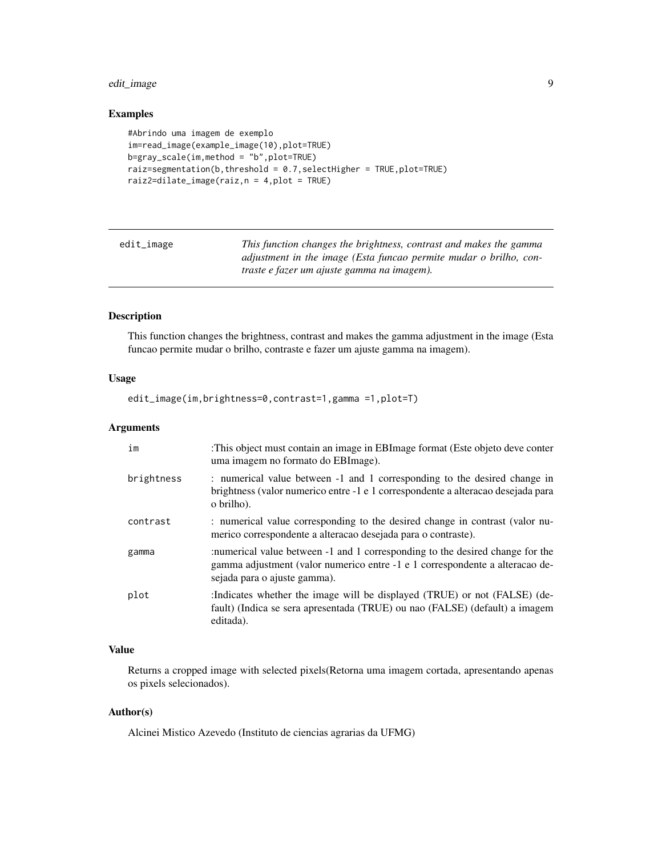# <span id="page-8-0"></span>edit\_image 9

# Examples

```
#Abrindo uma imagem de exemplo
im=read_image(example_image(10),plot=TRUE)
b=gray_scale(im,method = "b",plot=TRUE)
raiz=segmentation(b, threshold = 0.7, selectHigher = TRUE, plot=TRUE)
raiz2=dilate_image(raiz,n = 4,plot = TRUE)
```
<span id="page-8-1"></span>

| edit_image | This function changes the brightness, contrast and makes the gamma |
|------------|--------------------------------------------------------------------|
|            | adjustment in the image (Esta funcao permite mudar o brilho, con-  |
|            | traste e fazer um ajuste gamma na imagem).                         |

# Description

This function changes the brightness, contrast and makes the gamma adjustment in the image (Esta funcao permite mudar o brilho, contraste e fazer um ajuste gamma na imagem).

# Usage

edit\_image(im,brightness=0,contrast=1,gamma =1,plot=T)

# Arguments

| im         | :This object must contain an image in EBImage format (Este objeto deve conter<br>uma imagem no formato do EBImage).                                                                           |
|------------|-----------------------------------------------------------------------------------------------------------------------------------------------------------------------------------------------|
| brightness | : numerical value between -1 and 1 corresponding to the desired change in<br>brightness (valor numerico entre -1 e 1 correspondente a alteracao desejada para<br>o brilho).                   |
| contrast   | : numerical value corresponding to the desired change in contrast (valor nu-<br>merico correspondente a alteracao desejada para o contraste).                                                 |
| gamma      | :numerical value between -1 and 1 corresponding to the desired change for the<br>gamma adjustment (valor numerico entre -1 e 1 correspondente a alteracao de-<br>sejada para o ajuste gamma). |
| plot       | :Indicates whether the image will be displayed (TRUE) or not (FALSE) (de-<br>fault) (Indica se sera apresentada (TRUE) ou nao (FALSE) (default) a imagem<br>editada).                         |

# Value

Returns a cropped image with selected pixels(Retorna uma imagem cortada, apresentando apenas os pixels selecionados).

# Author(s)

Alcinei Mistico Azevedo (Instituto de ciencias agrarias da UFMG)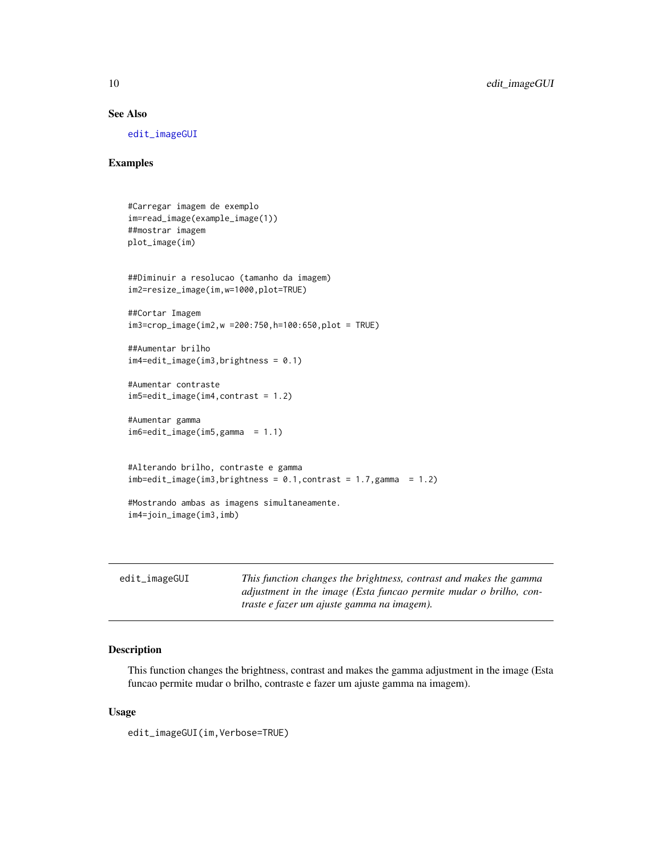# <span id="page-9-0"></span>See Also

[edit\\_imageGUI](#page-9-1)

#### Examples

```
#Carregar imagem de exemplo
im=read_image(example_image(1))
##mostrar imagem
plot_image(im)
##Diminuir a resolucao (tamanho da imagem)
im2=resize_image(im,w=1000,plot=TRUE)
##Cortar Imagem
im3=crop_image(im2,w =200:750,h=100:650,plot = TRUE)
##Aumentar brilho
im4=edit_image(im3,brightness = 0.1)
#Aumentar contraste
im5=edit_image(im4,contrast = 1.2)
#Aumentar gamma
im6=edit_image(im5,gamma = 1.1)
#Alterando brilho, contraste e gamma
imb = edit\_image(im3, brightness = 0.1, contrast = 1.7, gamma = 1.2)#Mostrando ambas as imagens simultaneamente.
im4=join_image(im3,imb)
```
<span id="page-9-1"></span>

| $edit\_imageGUI$ | This function changes the brightness, contrast and makes the gamma |
|------------------|--------------------------------------------------------------------|
|                  | adjustment in the image (Esta funcao permite mudar o brilho, con-  |
|                  | traste e fazer um ajuste gamma na imagem).                         |

#### Description

This function changes the brightness, contrast and makes the gamma adjustment in the image (Esta funcao permite mudar o brilho, contraste e fazer um ajuste gamma na imagem).

#### Usage

edit\_imageGUI(im,Verbose=TRUE)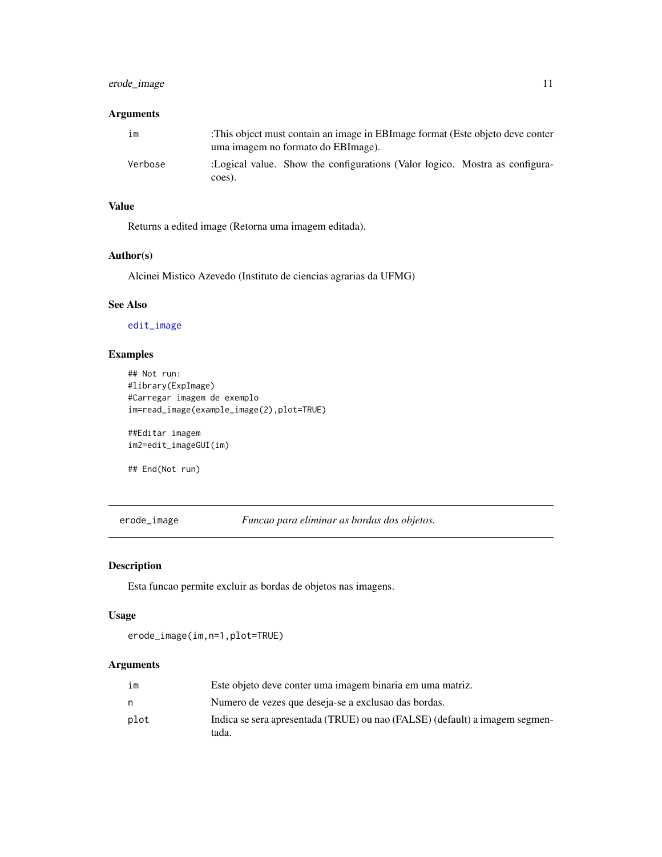# <span id="page-10-0"></span>erode\_image 11

# Arguments

| im      | This object must contain an image in EBI mage format (Este objeto deve conter<br>uma imagem no formato do EBI mage). |
|---------|----------------------------------------------------------------------------------------------------------------------|
| Verbose | :Logical value. Show the configurations (Valor logico. Mostra as configura-<br>coes).                                |

# Value

Returns a edited image (Retorna uma imagem editada).

# Author(s)

Alcinei Mistico Azevedo (Instituto de ciencias agrarias da UFMG)

# See Also

[edit\\_image](#page-8-1)

# Examples

```
## Not run:
#library(ExpImage)
#Carregar imagem de exemplo
im=read_image(example_image(2),plot=TRUE)
```
##Editar imagem im2=edit\_imageGUI(im)

## End(Not run)

<span id="page-10-1"></span>erode\_image *Funcao para eliminar as bordas dos objetos.*

#### Description

Esta funcao permite excluir as bordas de objetos nas imagens.

#### Usage

erode\_image(im,n=1,plot=TRUE)

| im   | Este objeto deve conter uma imagem binaria em uma matriz.                            |
|------|--------------------------------------------------------------------------------------|
|      | Numero de vezes que deseja-se a exclusão das bordas.                                 |
| plot | Indica se sera apresentada (TRUE) ou nao (FALSE) (default) a imagem segmen-<br>tada. |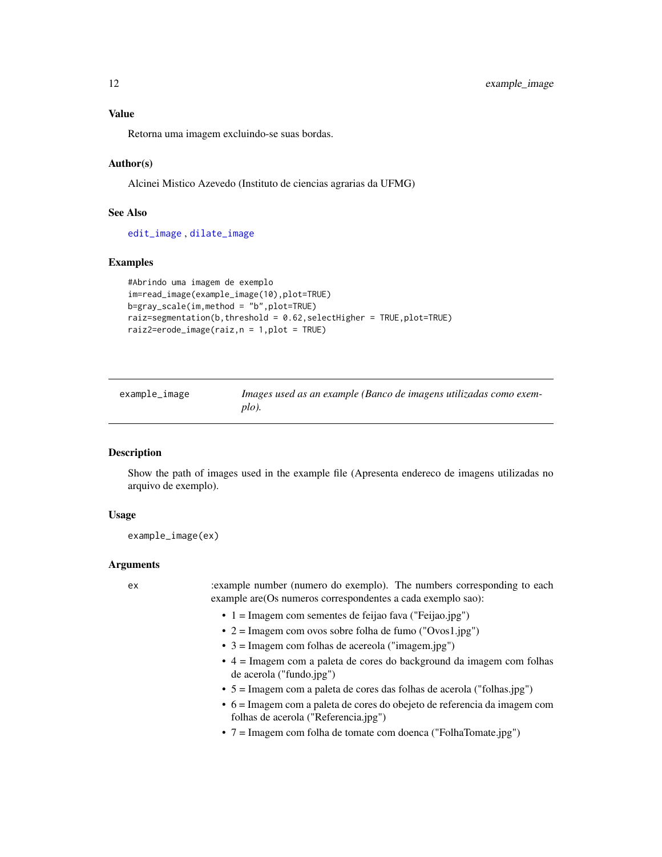<span id="page-11-0"></span>Retorna uma imagem excluindo-se suas bordas.

#### Author(s)

Alcinei Mistico Azevedo (Instituto de ciencias agrarias da UFMG)

# See Also

[edit\\_image](#page-8-1) , [dilate\\_image](#page-7-1)

#### Examples

```
#Abrindo uma imagem de exemplo
im=read_image(example_image(10),plot=TRUE)
b=gray_scale(im,method = "b",plot=TRUE)
raiz=segmentation(b,threshold = 0.62,selectHigher = TRUE,plot=TRUE)
raiz2=erode_image(raiz,n = 1,plot = TRUE)
```
<span id="page-11-1"></span>

| example_image | Images used as an example (Banco de imagens utilizadas como exem- |
|---------------|-------------------------------------------------------------------|
|               | $p(o)$ .                                                          |

# Description

Show the path of images used in the example file (Apresenta endereco de imagens utilizadas no arquivo de exemplo).

#### Usage

example\_image(ex)

#### Arguments

ex :example number (numero do exemplo). The numbers corresponding to each example are(Os numeros correspondentes a cada exemplo sao):

- 1 = Imagem com sementes de feijao fava ("Feijao.jpg")
- 2 = Imagem com ovos sobre folha de fumo ("Ovos1.jpg")
- 3 = Imagem com folhas de acereola ("imagem.jpg")
- 4 = Imagem com a paleta de cores do background da imagem com folhas de acerola ("fundo.jpg")
- 5 = Imagem com a paleta de cores das folhas de acerola ("folhas.jpg")
- 6 = Imagem com a paleta de cores do obejeto de referencia da imagem com folhas de acerola ("Referencia.jpg")
- 7 = Imagem com folha de tomate com doenca ("FolhaTomate.jpg")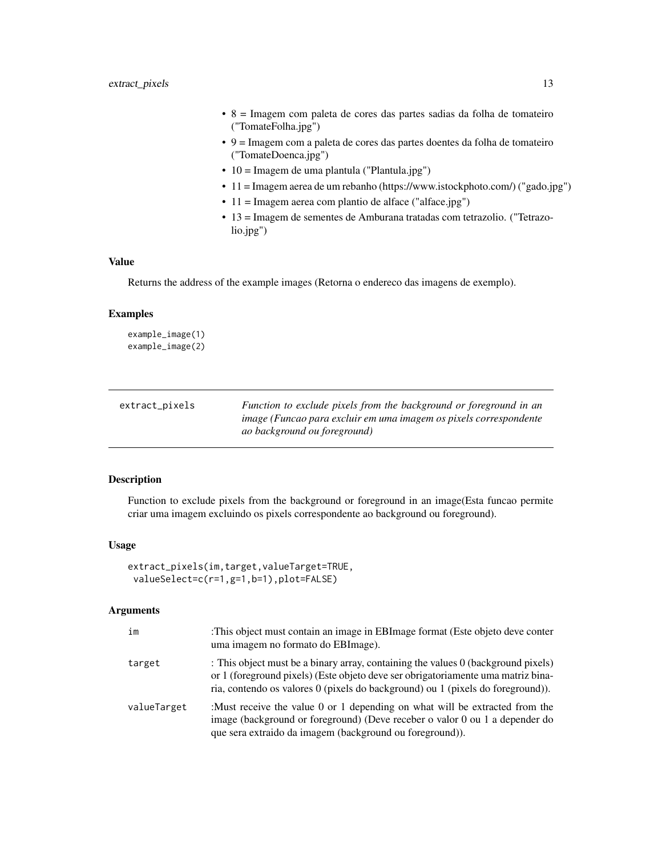- <span id="page-12-0"></span>• 8 = Imagem com paleta de cores das partes sadias da folha de tomateiro ("TomateFolha.jpg")
- 9 = Imagem com a paleta de cores das partes doentes da folha de tomateiro ("TomateDoenca.jpg")
- 10 = Imagem de uma plantula ("Plantula.jpg")
- 11 = Imagem aerea de um rebanho (https://www.istockphoto.com/) ("gado.jpg")
- 11 = Imagem aerea com plantio de alface ("alface.jpg")
- 13 = Imagem de sementes de Amburana tratadas com tetrazolio. ("Tetrazolio.jpg")

Returns the address of the example images (Retorna o endereco das imagens de exemplo).

#### Examples

example\_image(1) example\_image(2)

<span id="page-12-1"></span>

| extract_pixels | Function to exclude pixels from the background or foreground in an |
|----------------|--------------------------------------------------------------------|
|                | image (Funcao para excluir em uma imagem os pixels correspondente  |
|                | ao background ou foreground)                                       |

#### Description

Function to exclude pixels from the background or foreground in an image(Esta funcao permite criar uma imagem excluindo os pixels correspondente ao background ou foreground).

#### Usage

```
extract_pixels(im,target,valueTarget=TRUE,
valueSelect=c(r=1,g=1,b=1),plot=FALSE)
```

| im          | :This object must contain an image in EBI mage format (Este objeto deve conter<br>uma imagem no formato do EBI mage).                                                                                                                                    |
|-------------|----------------------------------------------------------------------------------------------------------------------------------------------------------------------------------------------------------------------------------------------------------|
| target      | : This object must be a binary array, containing the values 0 (background pixels)<br>or 1 (foreground pixels) (Este objeto deve ser obrigatoriamente uma matriz bina-<br>ria, contendo os valores 0 (pixels do background) ou 1 (pixels do foreground)). |
| valueTarget | :Must receive the value 0 or 1 depending on what will be extracted from the<br>image (background or foreground) (Deve receber o valor 0 ou 1 a depender do<br>que sera extraido da imagem (background ou foreground)).                                   |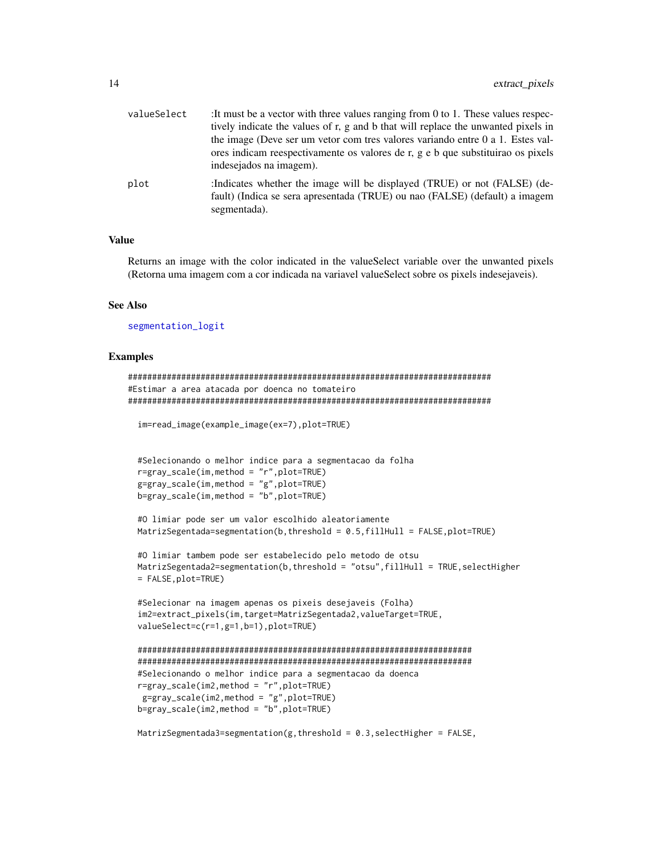<span id="page-13-0"></span>

| valueSelect | : It must be a vector with three values ranging from $0$ to 1. These values respec-<br>tively indicate the values of r, g and b that will replace the unwanted pixels in<br>the image (Deve ser um vetor com tres valores variando entre 0 a 1. Estes val-<br>ores indicam reespectivamente os valores de r, g e b que substituirao os pixels<br>indesejados na imagem). |
|-------------|--------------------------------------------------------------------------------------------------------------------------------------------------------------------------------------------------------------------------------------------------------------------------------------------------------------------------------------------------------------------------|
| plot        | :Indicates whether the image will be displayed (TRUE) or not (FALSE) (de-<br>fault) (Indica se sera apresentada (TRUE) ou nao (FALSE) (default) a imagem<br>segmentada).                                                                                                                                                                                                 |

Returns an image with the color indicated in the valueSelect variable over the unwanted pixels (Retorna uma imagem com a cor indicada na variavel valueSelect sobre os pixels indesejaveis).

#### See Also

[segmentation\\_logit](#page-41-1)

```
###########################################################################
#Estimar a area atacada por doenca no tomateiro
###########################################################################
 im=read_image(example_image(ex=7),plot=TRUE)
 #Selecionando o melhor indice para a segmentacao da folha
 r=gray_scale(im,method = "r",plot=TRUE)
 g=gray_scale(im,method = "g",plot=TRUE)
 b=gray_scale(im,method = "b",plot=TRUE)
 #O limiar pode ser um valor escolhido aleatoriamente
 MatrizSegentada=segmentation(b,threshold = 0.5,fillHull = FALSE,plot=TRUE)
 #O limiar tambem pode ser estabelecido pelo metodo de otsu
 MatrizSegentada2=segmentation(b,threshold = "otsu", fillHull = TRUE, selectHigher
 = FALSE,plot=TRUE)
 #Selecionar na imagem apenas os pixeis desejaveis (Folha)
 im2=extract_pixels(im,target=MatrizSegentada2,valueTarget=TRUE,
 valueSelect=c(r=1,g=1,b=1),plot=TRUE)
 #####################################################################
 #####################################################################
 #Selecionando o melhor indice para a segmentacao da doenca
 r=gray_scale(im2,method = "r",plot=TRUE)
  g=gray_scale(im2,method = "g",plot=TRUE)
 b=gray_scale(im2,method = "b",plot=TRUE)
 MatrizSegmentada3=segmentation(g,threshold = 0.3, selectHigher = FALSE,
```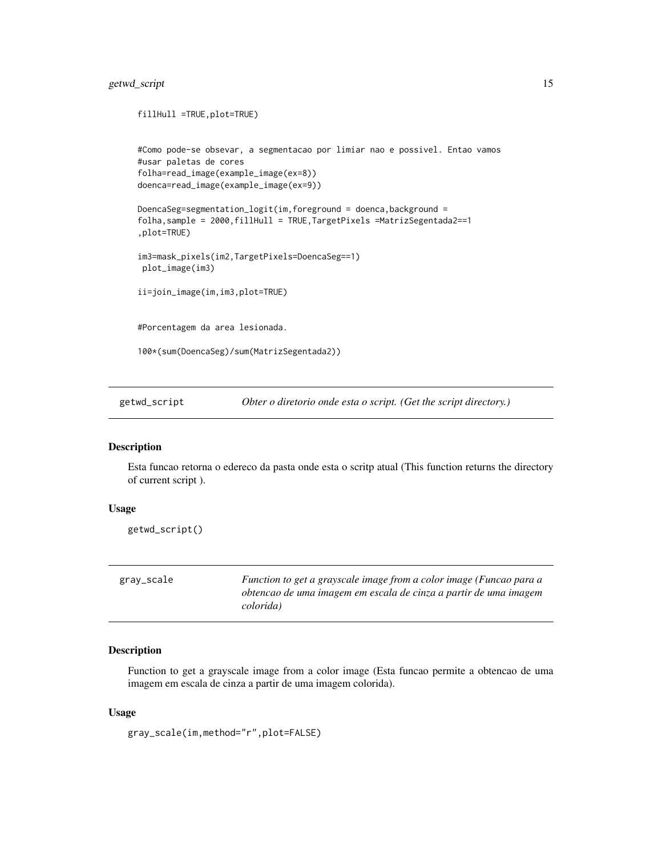# <span id="page-14-0"></span>getwd\_script 15

```
fillHull =TRUE,plot=TRUE)
#Como pode-se obsevar, a segmentacao por limiar nao e possivel. Entao vamos
#usar paletas de cores
folha=read_image(example_image(ex=8))
doenca=read_image(example_image(ex=9))
DoencaSeg=segmentation_logit(im,foreground = doenca,background =
folha,sample = 2000,fillHull = TRUE,TargetPixels =MatrizSegentada2==1
,plot=TRUE)
im3=mask_pixels(im2,TargetPixels=DoencaSeg==1)
 plot_image(im3)
ii=join_image(im,im3,plot=TRUE)
#Porcentagem da area lesionada.
100*(sum(DoencaSeg)/sum(MatrizSegentada2))
```
getwd\_script *Obter o diretorio onde esta o script. (Get the script directory.)*

# Description

Esta funcao retorna o edereco da pasta onde esta o scritp atual (This function returns the directory of current script ).

#### Usage

```
getwd_script()
```
<span id="page-14-1"></span>

| gray_scale | Function to get a grayscale image from a color image (Funcao para a |
|------------|---------------------------------------------------------------------|
|            | obtencao de uma imagem em escala de cinza a partir de uma imagem    |
|            | colorida)                                                           |

#### Description

Function to get a grayscale image from a color image (Esta funcao permite a obtencao de uma imagem em escala de cinza a partir de uma imagem colorida).

#### Usage

gray\_scale(im,method="r",plot=FALSE)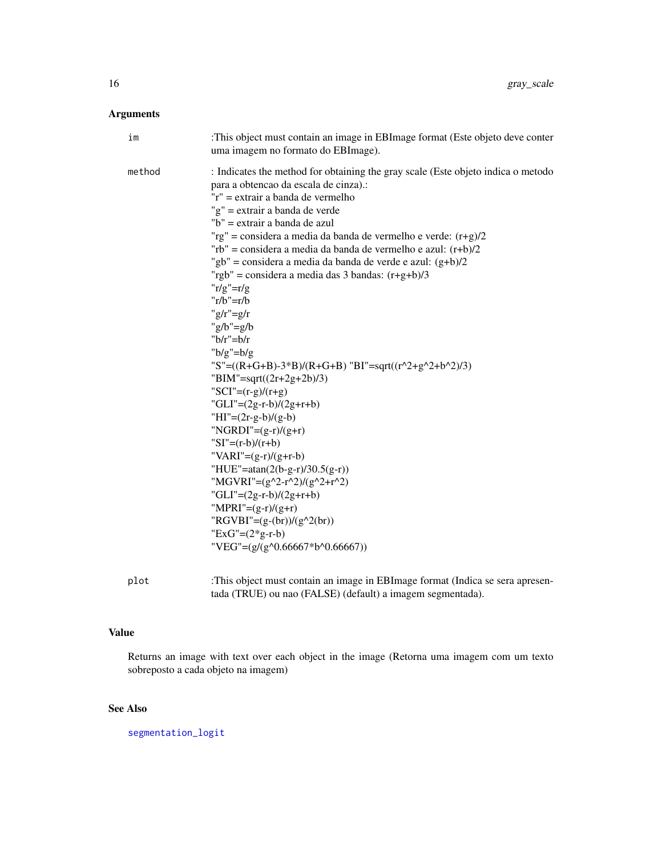# <span id="page-15-0"></span>Arguments

| im     | :This object must contain an image in EBImage format (Este objeto deve conter<br>uma imagem no formato do EBImage).                                                                                                                                                                                                                                                                                                                                                                                                                                                                                                                                                                                                                                                                                                                                                                                                                                                                                                                                                                                                |
|--------|--------------------------------------------------------------------------------------------------------------------------------------------------------------------------------------------------------------------------------------------------------------------------------------------------------------------------------------------------------------------------------------------------------------------------------------------------------------------------------------------------------------------------------------------------------------------------------------------------------------------------------------------------------------------------------------------------------------------------------------------------------------------------------------------------------------------------------------------------------------------------------------------------------------------------------------------------------------------------------------------------------------------------------------------------------------------------------------------------------------------|
| method | : Indicates the method for obtaining the gray scale (Este objeto indica o metodo<br>para a obtencao da escala de cinza).:<br>$'r'' =$ extrair a banda de vermelho<br>"g" = extrair a banda de verde<br>"b" = extrair a banda de azul<br>"rg" = considera a media da banda de vermelho e verde: $(r+g)/2$<br>"rb" = considera a media da banda de vermelho e azul: $(r+b)/2$<br>"gb" = considera a media da banda de verde e azul: $(g+b)/2$<br>"rgb" = considera a media das 3 bandas: $(r+g+b)/3$<br>$r/g''=r/g$<br>$'r/b''=r/b$<br>" $g/r$ "= $g/r$<br>" $g/b$ "= $g/b$<br>" $h/r$ " $=h/r$<br>" $b/g$ "= $b/g$<br>"S"=((R+G+B)-3*B)/(R+G+B) "BI"=sqrt((r^2+g^2+b^2)/3)<br>"BIM"=sqrt( $(2r+2g+2b)/3$ )<br>"SCI"= $(r-g)/(r+g)$<br>"GLI"= $(2g-r-b)/(2g+r+b)$<br>"HI"= $(2r-g-b)/(g-b)$<br>"NGRDI"= $(g-r)/(g+r)$<br>"SI"= $(r-b)/(r+b)$<br>"VARI"= $(g-r)/(g+r-b)$<br>"HUE"=atan(2(b-g-r)/30.5(g-r))<br>"MGVRI"= $(g^2-r^2)/(g^2+r^2)$<br>"GLI"= $(2g-r-b)/(2g+r+b)$<br>"MPRI"= $(g-r)/(g+r)$<br>"RGVBI"= $(g-(br))/(g^2(br))$<br>"ExG"= $(2 \times g-r-b)$<br>"VEG"= $(g/(g \land 0.66667 * b \land 0.66667))$ |

plot :This object must contain an image in EBImage format (Indica se sera apresentada (TRUE) ou nao (FALSE) (default) a imagem segmentada).

# Value

Returns an image with text over each object in the image (Retorna uma imagem com um texto sobreposto a cada objeto na imagem)

# See Also

[segmentation\\_logit](#page-41-1)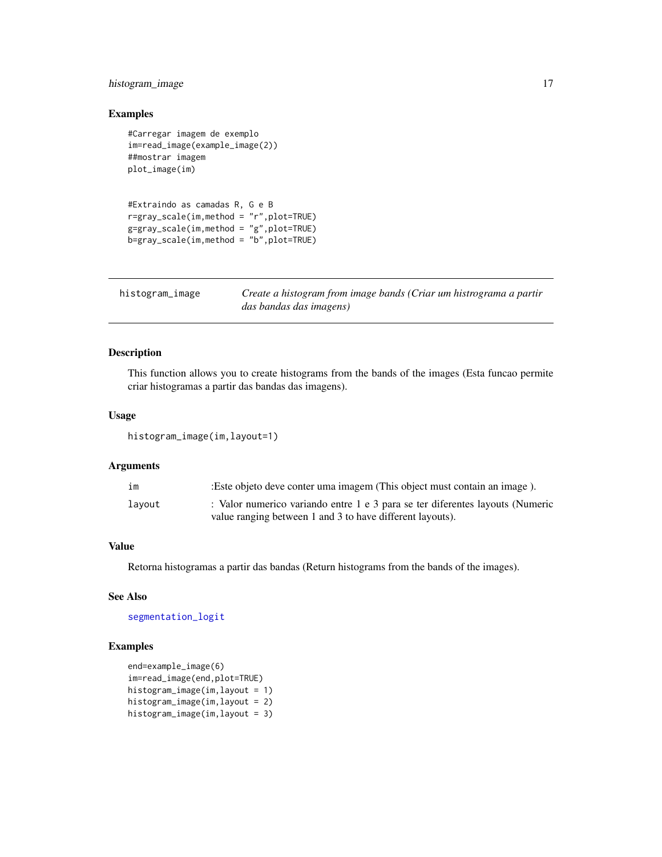# <span id="page-16-0"></span>histogram\_image 17

# Examples

```
#Carregar imagem de exemplo
im=read_image(example_image(2))
##mostrar imagem
plot_image(im)
#Extraindo as camadas R, G e B
r=gray_scale(im,method = "r",plot=TRUE)
g=gray_scale(im,method = "g",plot=TRUE)
b=gray_scale(im,method = "b",plot=TRUE)
```

| histogram_image | Create a histogram from image bands (Criar um histrograma a partir |
|-----------------|--------------------------------------------------------------------|
|                 | das bandas das imagens)                                            |

# Description

This function allows you to create histograms from the bands of the images (Esta funcao permite criar histogramas a partir das bandas das imagens).

#### Usage

histogram\_image(im,layout=1)

# Arguments

| īm     | : Este objeto deve conter uma imagem (This object must contain an image).     |
|--------|-------------------------------------------------------------------------------|
| lavout | : Valor numerico variando entre 1 e 3 para se ter diferentes layouts (Numeric |
|        | value ranging between 1 and 3 to have different layouts).                     |

# Value

Retorna histogramas a partir das bandas (Return histograms from the bands of the images).

#### See Also

[segmentation\\_logit](#page-41-1)

```
end=example_image(6)
im=read_image(end,plot=TRUE)
histogram_image(im,layout = 1)
histogram_image(im,layout = 2)
histogram_image(im,layout = 3)
```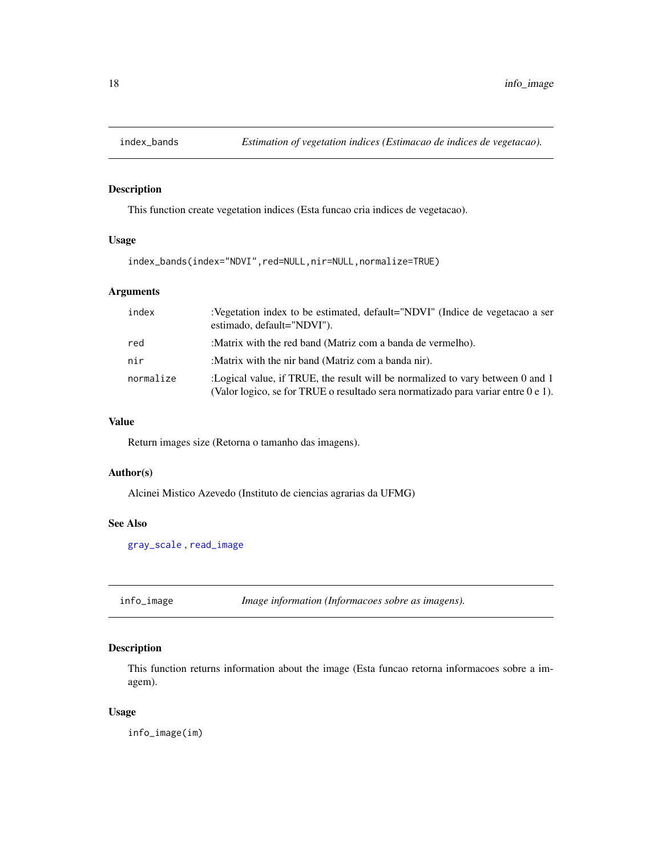<span id="page-17-0"></span>

# Description

This function create vegetation indices (Esta funcao cria indices de vegetacao).

#### Usage

index\_bands(index="NDVI",red=NULL,nir=NULL,normalize=TRUE)

# Arguments

| index     | :Vegetation index to be estimated, default="NDVI" (Indice de vegetacao a ser<br>estimado, default="NDVI").                                                          |
|-----------|---------------------------------------------------------------------------------------------------------------------------------------------------------------------|
| red       | :Matrix with the red band (Matriz com a banda de vermelho).                                                                                                         |
| nir       | :Matrix with the nir band (Matriz com a banda nir).                                                                                                                 |
| normalize | :Logical value, if TRUE, the result will be normalized to vary between 0 and 1<br>(Valor logico, se for TRUE o resultado sera normatizado para variar entre 0 e 1). |

#### Value

Return images size (Retorna o tamanho das imagens).

#### Author(s)

Alcinei Mistico Azevedo (Instituto de ciencias agrarias da UFMG)

# See Also

[gray\\_scale](#page-14-1) , [read\\_image](#page-36-1)

<span id="page-17-1"></span>info\_image *Image information (Informacoes sobre as imagens).*

# Description

This function returns information about the image (Esta funcao retorna informacoes sobre a imagem).

#### Usage

info\_image(im)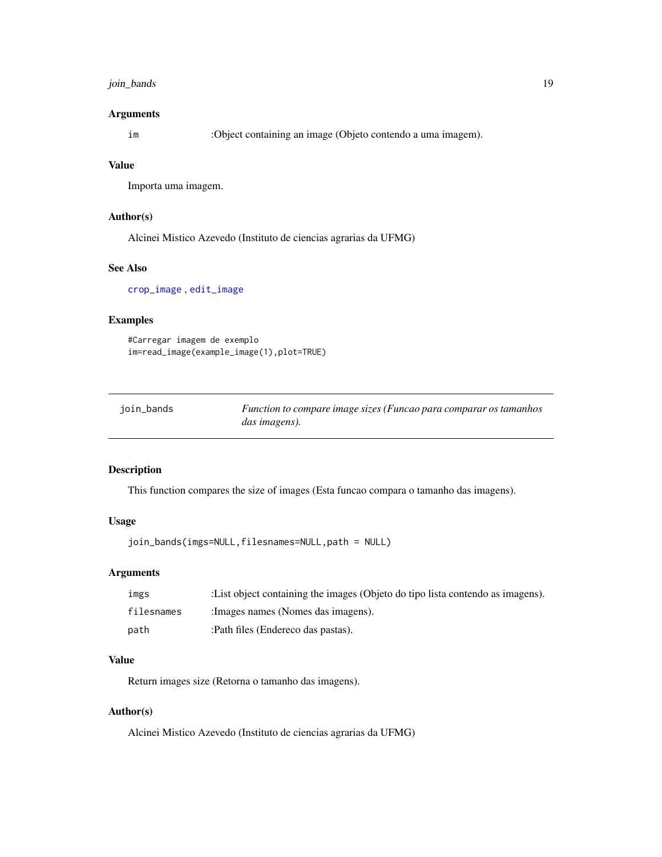# <span id="page-18-0"></span>join\_bands 19

#### Arguments

im :Object containing an image (Objeto contendo a uma imagem).

#### Value

Importa uma imagem.

#### Author(s)

Alcinei Mistico Azevedo (Instituto de ciencias agrarias da UFMG)

#### See Also

[crop\\_image](#page-6-1) , [edit\\_image](#page-8-1)

#### Examples

```
#Carregar imagem de exemplo
im=read_image(example_image(1),plot=TRUE)
```

| join_bands | Function to compare image sizes (Funcao para comparar os tamanhos |
|------------|-------------------------------------------------------------------|
|            | das imagens).                                                     |

# Description

This function compares the size of images (Esta funcao compara o tamanho das imagens).

#### Usage

```
join_bands(imgs=NULL,filesnames=NULL,path = NULL)
```
#### Arguments

| ımgs       | : List object containing the images (Objeto do tipo lista contendo as imagens). |
|------------|---------------------------------------------------------------------------------|
| filesnames | : Images names (Nomes das imagens).                                             |
| path       | :Path files (Endereco das pastas).                                              |

#### Value

Return images size (Retorna o tamanho das imagens).

#### Author(s)

Alcinei Mistico Azevedo (Instituto de ciencias agrarias da UFMG)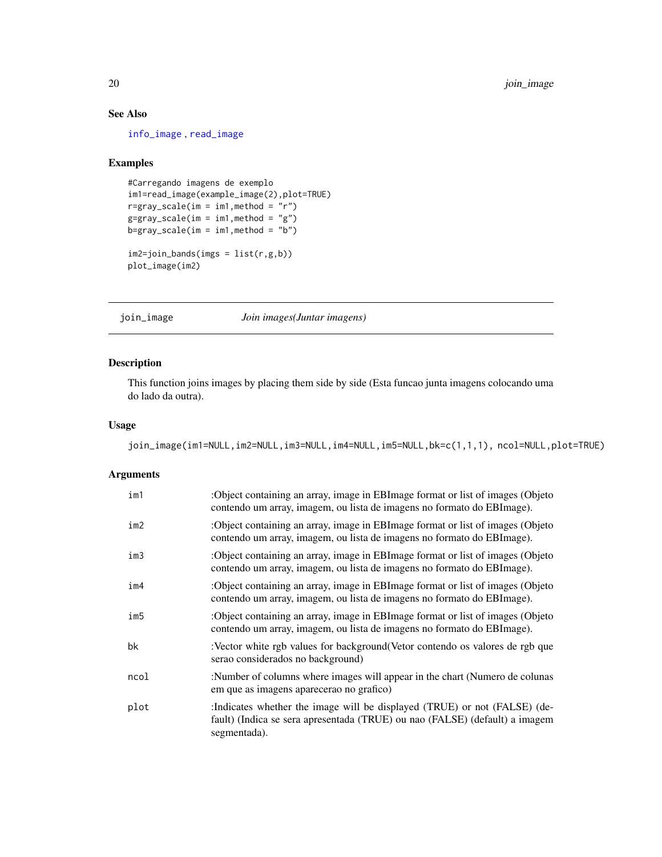# See Also

[info\\_image](#page-17-1) , [read\\_image](#page-36-1)

# Examples

```
#Carregando imagens de exemplo
im1=read_image(example_image(2),plot=TRUE)
r=gray_scale(im = im1,method = "r")
g=gray_scale(im = im1,method = "g")
b=gray\_scale(im = im1, method = "b")im2=join_bands(imgs = list(r,g,b))
plot_image(im2)
```
<span id="page-19-1"></span>

join\_image *Join images(Juntar imagens)*

# Description

This function joins images by placing them side by side (Esta funcao junta imagens colocando uma do lado da outra).

#### Usage

join\_image(im1=NULL,im2=NULL,im3=NULL,im4=NULL,im5=NULL,bk=c(1,1,1), ncol=NULL,plot=TRUE)

| im1  | :Object containing an array, image in EBI mage format or list of images (Objeto<br>contendo um array, imagem, ou lista de imagens no formato do EBImage).                |
|------|--------------------------------------------------------------------------------------------------------------------------------------------------------------------------|
| im2  | :Object containing an array, image in EBI mage format or list of images (Objeto)<br>contendo um array, imagem, ou lista de imagens no formato do EBI mage).              |
| im3  | :Object containing an array, image in EBI mage format or list of images (Objeto)<br>contendo um array, imagem, ou lista de imagens no formato do EBI mage).              |
| im4  | :Object containing an array, image in EBI mage format or list of images (Objeto<br>contendo um array, imagem, ou lista de imagens no formato do EBI mage).               |
| im5  | :Object containing an array, image in EBI mage format or list of images (Objeto<br>contendo um array, imagem, ou lista de imagens no formato do EBImage).                |
| bk   | :Vector white rgb values for background (Vetor contendo os valores de rgb que<br>serao considerados no background)                                                       |
| ncol | :Number of columns where images will appear in the chart (Numero de colunas<br>em que as imagens aparecerao no grafico)                                                  |
| plot | :Indicates whether the image will be displayed (TRUE) or not (FALSE) (de-<br>fault) (Indica se sera apresentada (TRUE) ou nao (FALSE) (default) a imagem<br>segmentada). |

<span id="page-19-0"></span>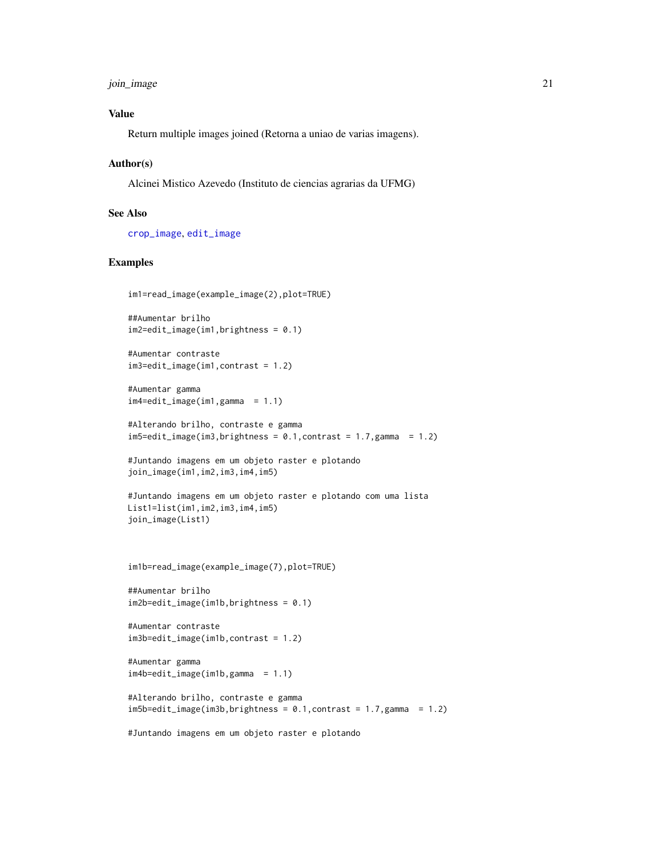<span id="page-20-0"></span>join\_image 21

# Value

Return multiple images joined (Retorna a uniao de varias imagens).

#### Author(s)

Alcinei Mistico Azevedo (Instituto de ciencias agrarias da UFMG)

# See Also

[crop\\_image](#page-6-1), [edit\\_image](#page-8-1)

```
im1=read_image(example_image(2),plot=TRUE)
```

```
##Aumentar brilho
im2=edit_image(im1,brightness = 0.1)
```

```
#Aumentar contraste
im3=edit_image(im1,contrast = 1.2)
```

```
#Aumentar gamma
im4=edit\_image(im1,gamma = 1.1)
```

```
#Alterando brilho, contraste e gamma
im5=edit\_image(im3, brightness = 0.1, contrast = 1.7,gamma = 1.2)
```

```
#Juntando imagens em um objeto raster e plotando
join_image(im1,im2,im3,im4,im5)
```

```
#Juntando imagens em um objeto raster e plotando com uma lista
List1=list(im1,im2,im3,im4,im5)
join_image(List1)
```

```
im1b=read_image(example_image(7),plot=TRUE)
```

```
##Aumentar brilho
im2b=edit_image(im1b,brightness = 0.1)
```

```
#Aumentar contraste
im3b=edit_image(im1b,contrast = 1.2)
```

```
#Aumentar gamma
im4b=edit_image(im1b,gamma = 1.1)
```

```
#Alterando brilho, contraste e gamma
im5b=edit\_image(im3b, brightness = 0.1, contrast = 1.7,gamma = 1.2)
```

```
#Juntando imagens em um objeto raster e plotando
```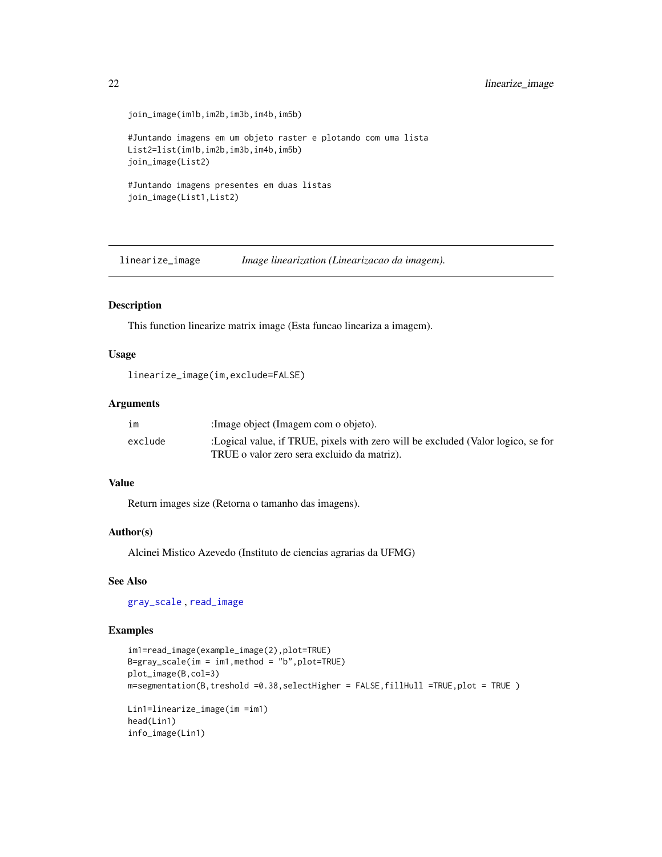```
join_image(im1b,im2b,im3b,im4b,im5b)
#Juntando imagens em um objeto raster e plotando com uma lista
List2=list(im1b,im2b,im3b,im4b,im5b)
join_image(List2)
#Juntando imagens presentes em duas listas
join_image(List1,List2)
```
linearize\_image *Image linearization (Linearizacao da imagem).*

#### Description

This function linearize matrix image (Esta funcao lineariza a imagem).

#### Usage

```
linearize_image(im,exclude=FALSE)
```
#### Arguments

| im      | : Image object (Imagem com o objeto).                                            |
|---------|----------------------------------------------------------------------------------|
| exclude | :Logical value, if TRUE, pixels with zero will be excluded (Valor logico, se for |
|         | TRUE o valor zero sera excluido da matriz).                                      |

# Value

Return images size (Retorna o tamanho das imagens).

# Author(s)

Alcinei Mistico Azevedo (Instituto de ciencias agrarias da UFMG)

# See Also

[gray\\_scale](#page-14-1) , [read\\_image](#page-36-1)

```
im1=read_image(example_image(2),plot=TRUE)
B=gray\_scale(im = im1, method = "b", plot=TRUE)plot_image(B,col=3)
m=segmentation(B,treshold =0.38,selectHigher = FALSE,fillHull =TRUE,plot = TRUE )
Lin1=linearize_image(im =im1)
head(Lin1)
info_image(Lin1)
```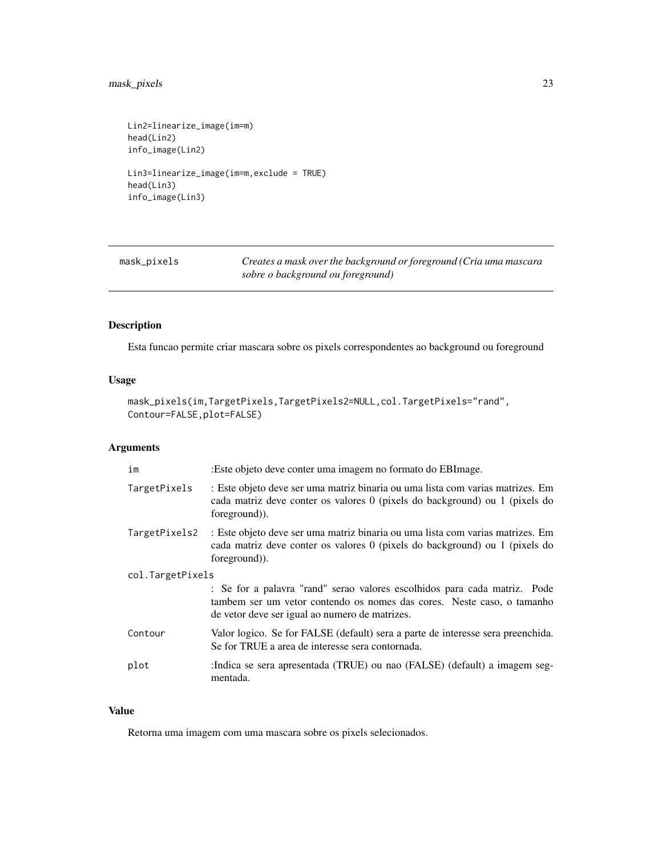# <span id="page-22-0"></span>mask\_pixels 23

```
Lin2=linearize_image(im=m)
head(Lin2)
info_image(Lin2)
Lin3=linearize_image(im=m,exclude = TRUE)
head(Lin3)
info_image(Lin3)
```
<span id="page-22-1"></span>

| mask_pixels | Creates a mask over the background or foreground (Cria uma mascara |
|-------------|--------------------------------------------------------------------|
|             | sobre o background ou foreground)                                  |

# Description

Esta funcao permite criar mascara sobre os pixels correspondentes ao background ou foreground

# Usage

```
mask_pixels(im,TargetPixels,TargetPixels2=NULL,col.TargetPixels="rand",
Contour=FALSE, plot=FALSE)
```
# Arguments

| im               | :Este objeto deve conter uma imagem no formato do EBI mage.                                                                                                                                           |
|------------------|-------------------------------------------------------------------------------------------------------------------------------------------------------------------------------------------------------|
| TargetPixels     | : Este objeto deve ser uma matriz binaria ou uma lista com varias matrizes. Em<br>cada matriz deve conter os valores 0 (pixels do background) ou 1 (pixels do<br>foreground).                         |
| TargetPixels2    | : Este objeto deve ser uma matriz binaria ou uma lista com varias matrizes. Em<br>cada matriz deve conter os valores 0 (pixels do background) ou 1 (pixels do<br>foreground).                         |
| col.TargetPixels |                                                                                                                                                                                                       |
|                  | : Se for a palavra "rand" serao valores escolhidos para cada matriz. Pode<br>tambem ser um vetor contendo os nomes das cores. Neste caso, o tamanho<br>de vetor deve ser igual ao numero de matrizes. |
| Contour          | Valor logico. Se for FALSE (default) sera a parte de interesse sera preenchida.<br>Se for TRUE a area de interesse sera contornada.                                                                   |
| plot             | :Indica se sera apresentada (TRUE) ou nao (FALSE) (default) a imagem seg-<br>mentada.                                                                                                                 |

#### Value

Retorna uma imagem com uma mascara sobre os pixels selecionados.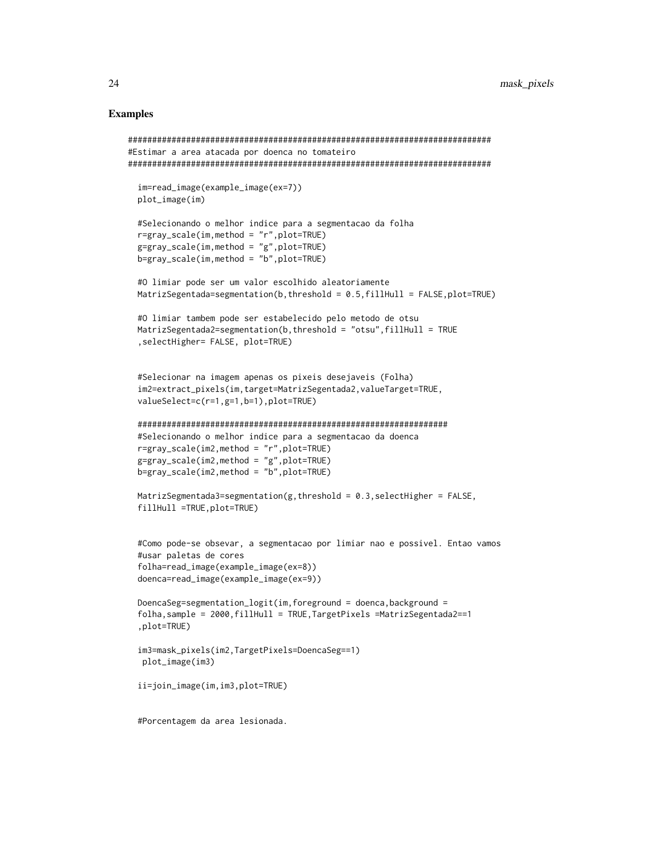```
###########################################################################
#Estimar a area atacada por doenca no tomateiro
###########################################################################
 im=read_image(example_image(ex=7))
 plot_image(im)
 #Selecionando o melhor indice para a segmentacao da folha
 r=gray_scale(im,method = "r",plot=TRUE)
 g=gray_scale(im,method = "g",plot=TRUE)
 b=gray_scale(im,method = "b",plot=TRUE)
 #O limiar pode ser um valor escolhido aleatoriamente
 MatrizSegentada=segmentation(b,threshold = 0.5,fillHull = FALSE,plot=TRUE)
 #O limiar tambem pode ser estabelecido pelo metodo de otsu
 MatrizSegentada2=segmentation(b,threshold = "otsu",fillHull = TRUE
  ,selectHigher= FALSE, plot=TRUE)
 #Selecionar na imagem apenas os pixeis desejaveis (Folha)
 im2=extract_pixels(im,target=MatrizSegentada2,valueTarget=TRUE,
 valueSelect=c(r=1,g=1,b=1),plot=TRUE)
 ################################################################
 #Selecionando o melhor indice para a segmentacao da doenca
 r=gray_scale(im2,method = "r",plot=TRUE)
 g=gray_scale(im2,method = "g",plot=TRUE)
 b=gray_scale(im2,method = "b",plot=TRUE)
 MatrizSegmentada3=segmentation(g,threshold = 0.3, selectHigher = FALSE,
 fillHull =TRUE,plot=TRUE)
 #Como pode-se obsevar, a segmentacao por limiar nao e possivel. Entao vamos
 #usar paletas de cores
 folha=read_image(example_image(ex=8))
 doenca=read_image(example_image(ex=9))
 DoencaSeg=segmentation_logit(im,foreground = doenca,background =
 folha,sample = 2000,fillHull = TRUE,TargetPixels =MatrizSegentada2==1
  ,plot=TRUE)
 im3=mask_pixels(im2,TargetPixels=DoencaSeg==1)
  plot_image(im3)
 ii=join_image(im,im3,plot=TRUE)
 #Porcentagem da area lesionada.
```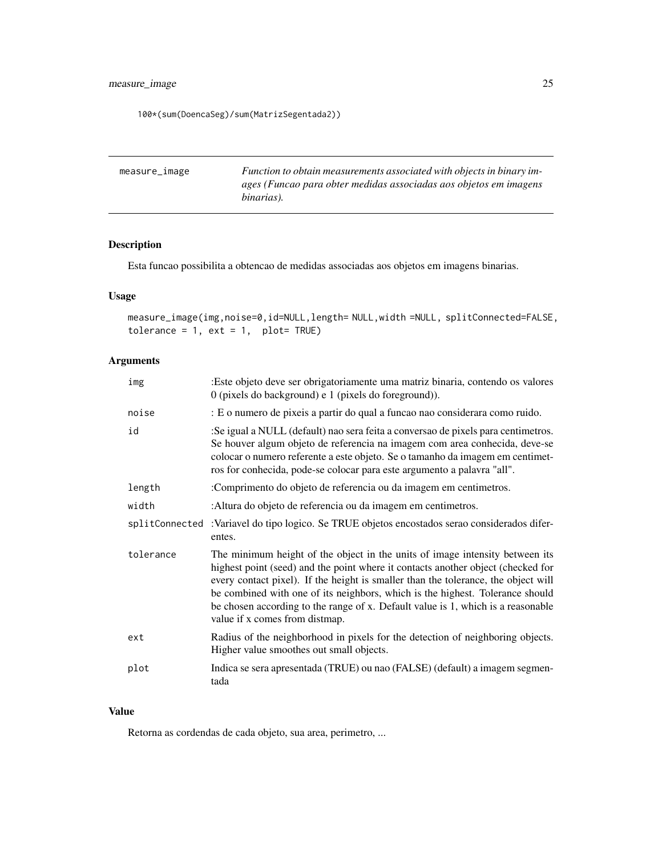# <span id="page-24-0"></span>measure\_image 25

100\*(sum(DoencaSeg)/sum(MatrizSegentada2))

| measure_image | Function to obtain measurements associated with objects in binary im- |
|---------------|-----------------------------------------------------------------------|
|               | ages (Funcao para obter medidas associadas aos objetos em imagens     |
|               | binarias).                                                            |

# Description

Esta funcao possibilita a obtencao de medidas associadas aos objetos em imagens binarias.

# Usage

measure\_image(img,noise=0,id=NULL,length= NULL,width =NULL, splitConnected=FALSE, tolerance =  $1$ , ext =  $1$ , plot= TRUE)

# Arguments

| img            | :Este objeto deve ser obrigatoriamente uma matriz binaria, contendo os valores<br>$0$ (pixels do background) e 1 (pixels do foreground)).                                                                                                                                                                                                                                                                                                                     |
|----------------|---------------------------------------------------------------------------------------------------------------------------------------------------------------------------------------------------------------------------------------------------------------------------------------------------------------------------------------------------------------------------------------------------------------------------------------------------------------|
| noise          | : E o numero de pixeis a partir do qual a funcao nao considerara como ruido.                                                                                                                                                                                                                                                                                                                                                                                  |
| id             | :Se igual a NULL (default) nao sera feita a conversao de pixels para centimetros.<br>Se houver algum objeto de referencia na imagem com area conhecida, deve-se<br>colocar o numero referente a este objeto. Se o tamanho da imagem em centimet-<br>ros for conhecida, pode-se colocar para este argumento a palavra "all".                                                                                                                                   |
| length         | :Comprimento do objeto de referencia ou da imagem em centimetros.                                                                                                                                                                                                                                                                                                                                                                                             |
| width          | :Altura do objeto de referencia ou da imagem em centimetros.                                                                                                                                                                                                                                                                                                                                                                                                  |
| splitConnected | :Variavel do tipo logico. Se TRUE objetos encostados serao considerados difer-<br>entes.                                                                                                                                                                                                                                                                                                                                                                      |
| tolerance      | The minimum height of the object in the units of image intensity between its<br>highest point (seed) and the point where it contacts another object (checked for<br>every contact pixel). If the height is smaller than the tolerance, the object will<br>be combined with one of its neighbors, which is the highest. Tolerance should<br>be chosen according to the range of x. Default value is 1, which is a reasonable<br>value if x comes from distmap. |
| ext            | Radius of the neighborhood in pixels for the detection of neighboring objects.<br>Higher value smoothes out small objects.                                                                                                                                                                                                                                                                                                                                    |
| plot           | Indica se sera apresentada (TRUE) ou nao (FALSE) (default) a imagem segmen-<br>tada                                                                                                                                                                                                                                                                                                                                                                           |

#### Value

Retorna as cordendas de cada objeto, sua area, perimetro, ...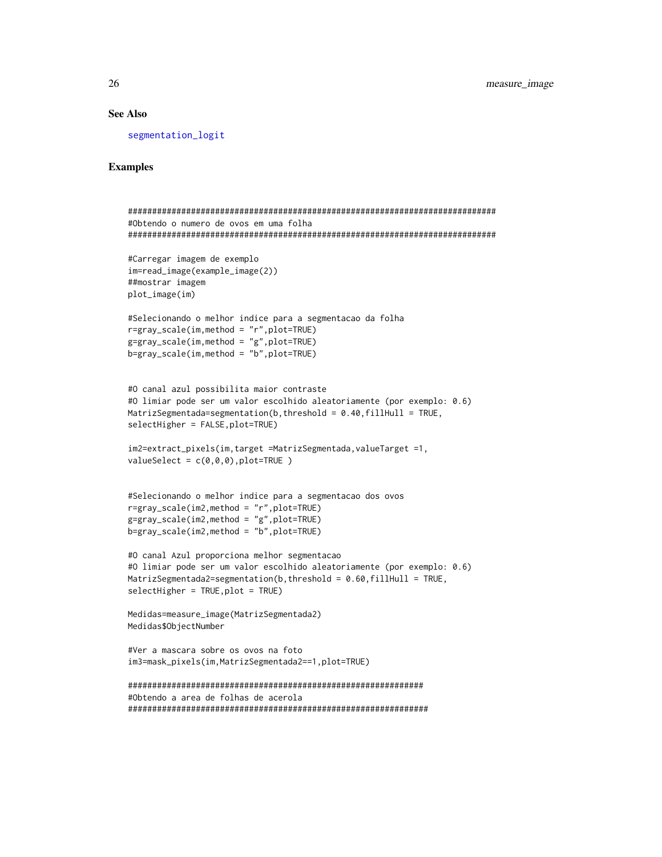# See Also

[segmentation\\_logit](#page-41-1)

```
############################################################################
#Obtendo o numero de ovos em uma folha
############################################################################
#Carregar imagem de exemplo
im=read_image(example_image(2))
##mostrar imagem
plot_image(im)
#Selecionando o melhor indice para a segmentacao da folha
r=gray_scale(im,method = "r",plot=TRUE)
g=gray_scale(im,method = "g",plot=TRUE)
b=gray_scale(im,method = "b",plot=TRUE)
#O canal azul possibilita maior contraste
#O limiar pode ser um valor escolhido aleatoriamente (por exemplo: 0.6)
MatrizSegmentada=segmentation(b, threshold = 0.40, fillHull = TRUE,
selectHigher = FALSE,plot=TRUE)
im2=extract_pixels(im,target =MatrizSegmentada,valueTarget =1,
valueSelect = c(0,0,0), plot=TRUE)
#Selecionando o melhor indice para a segmentacao dos ovos
r=gray_scale(im2,method = "r",plot=TRUE)
g=gray_scale(im2,method = "g",plot=TRUE)
b=gray_scale(im2,method = "b",plot=TRUE)
#O canal Azul proporciona melhor segmentacao
#O limiar pode ser um valor escolhido aleatoriamente (por exemplo: 0.6)
MatrizSegmentada2=segmentation(b,threshold = 0.60,fillHull = TRUE,
selectHigher = TRUE,plot = TRUE)
Medidas=measure_image(MatrizSegmentada2)
Medidas$ObjectNumber
#Ver a mascara sobre os ovos na foto
im3=mask_pixels(im,MatrizSegmentada2==1,plot=TRUE)
#############################################################
#Obtendo a area de folhas de acerola
##############################################################
```
<span id="page-25-0"></span>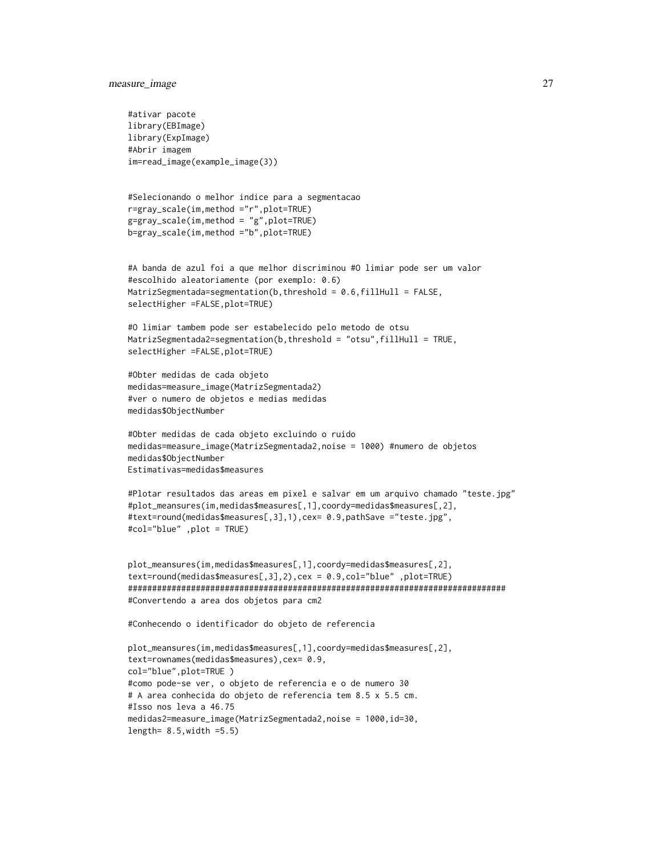#### measure\_image 27

```
#ativar pacote
library(EBImage)
library(ExpImage)
#Abrir imagem
im=read_image(example_image(3))
#Selecionando o melhor indice para a segmentacao
r=gray_scale(im,method ="r",plot=TRUE)
g=gray_scale(im,method = "g",plot=TRUE)
b=gray_scale(im,method ="b",plot=TRUE)
#A banda de azul foi a que melhor discriminou #O limiar pode ser um valor
#escolhido aleatoriamente (por exemplo: 0.6)
MatrizSegmentada=segmentation(b,threshold = 0.6,fillHull = FALSE,
selectHigher =FALSE,plot=TRUE)
#O limiar tambem pode ser estabelecido pelo metodo de otsu
MatrizSegmentada2=segmentation(b,threshold = "otsu",fillHull = TRUE,
selectHigher =FALSE, plot=TRUE)
#Obter medidas de cada objeto
medidas=measure_image(MatrizSegmentada2)
#ver o numero de objetos e medias medidas
medidas$ObjectNumber
#Obter medidas de cada objeto excluindo o ruido
medidas=measure_image(MatrizSegmentada2,noise = 1000) #numero de objetos
medidas$ObjectNumber
Estimativas=medidas$measures
#Plotar resultados das areas em pixel e salvar em um arquivo chamado "teste.jpg"
#plot_meansures(im,medidas$measures[,1],coordy=medidas$measures[,2],
#text=round(medidas$measures[,3],1),cex= 0.9,pathSave ="teste.jpg",
#col="blue" ,plot = TRUE)
plot_meansures(im,medidas$measures[,1],coordy=medidas$measures[,2],
text=round(medidas$measures[,3],2),cex = 0.9,col="blue" ,plot=TRUE)
##############################################################################
#Convertendo a area dos objetos para cm2
#Conhecendo o identificador do objeto de referencia
plot_meansures(im,medidas$measures[,1],coordy=medidas$measures[,2],
text=rownames(medidas$measures),cex= 0.9,
col="blue",plot=TRUE )
#como pode-se ver, o objeto de referencia e o de numero 30
# A area conhecida do objeto de referencia tem 8.5 x 5.5 cm.
#Isso nos leva a 46.75
medidas2=measure_image(MatrizSegmentada2,noise = 1000,id=30,
```

```
length= 8.5,width =5.5)
```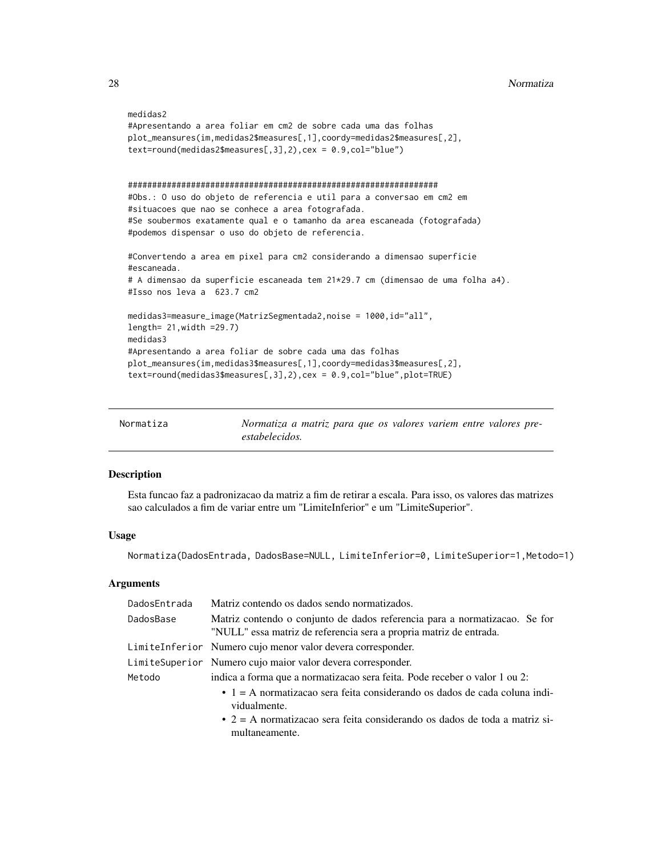```
medidas2
#Apresentando a area foliar em cm2 de sobre cada uma das folhas
plot_meansures(im,medidas2$measures[,1],coordy=medidas2$measures[,2],
text=round(medidas2$measures[,3],2),cex = 0.9,col="blue")
################################################################
#Obs.: O uso do objeto de referencia e util para a conversao em cm2 em
#situacoes que nao se conhece a area fotografada.
#Se soubermos exatamente qual e o tamanho da area escaneada (fotografada)
#podemos dispensar o uso do objeto de referencia.
#Convertendo a area em pixel para cm2 considerando a dimensao superficie
#escaneada.
# A dimensao da superficie escaneada tem 21*29.7 cm (dimensao de uma folha a4).
#Isso nos leva a 623.7 cm2
medidas3=measure_image(MatrizSegmentada2,noise = 1000,id="all",
length= 21,width =29.7)
medidas3
#Apresentando a area foliar de sobre cada uma das folhas
plot_meansures(im,medidas3$measures[,1],coordy=medidas3$measures[,2],
text=round(medidas3$measures[,3],2),cex = 0.9,col="blue",plot=TRUE)
```

| Normatiza | Normatiza a matriz para que os valores variem entre valores pre- |
|-----------|------------------------------------------------------------------|
|           | estabelecidos.                                                   |

#### Description

Esta funcao faz a padronizacao da matriz a fim de retirar a escala. Para isso, os valores das matrizes sao calculados a fim de variar entre um "LimiteInferior" e um "LimiteSuperior".

# Usage

Normatiza(DadosEntrada, DadosBase=NULL, LimiteInferior=0, LimiteSuperior=1,Metodo=1)

| DadosEntrada | Matriz contendo os dados sendo normatizados.                                                                                                                                                               |  |
|--------------|------------------------------------------------------------------------------------------------------------------------------------------------------------------------------------------------------------|--|
| DadosBase    | Matriz contendo o conjunto de dados referencia para a normatizacao. Se for<br>"NULL" essa matriz de referencia sera a propria matriz de entrada.                                                           |  |
|              | LimiteInferior Numero cujo menor valor devera corresponder.                                                                                                                                                |  |
|              | LimiteSuperior Numero cujo maior valor devera corresponder.                                                                                                                                                |  |
| Metodo       | indica a forma que a normatizacao sera feita. Pode receber o valor 1 ou 2:                                                                                                                                 |  |
|              | $\bullet$ 1 = A normatizacao sera feita considerando os dados de cada coluna indi-<br>vidualmente.<br>$\bullet$ 2 = A normatizacao sera feita considerando os dados de toda a matriz si-<br>multaneamente. |  |

<span id="page-27-0"></span>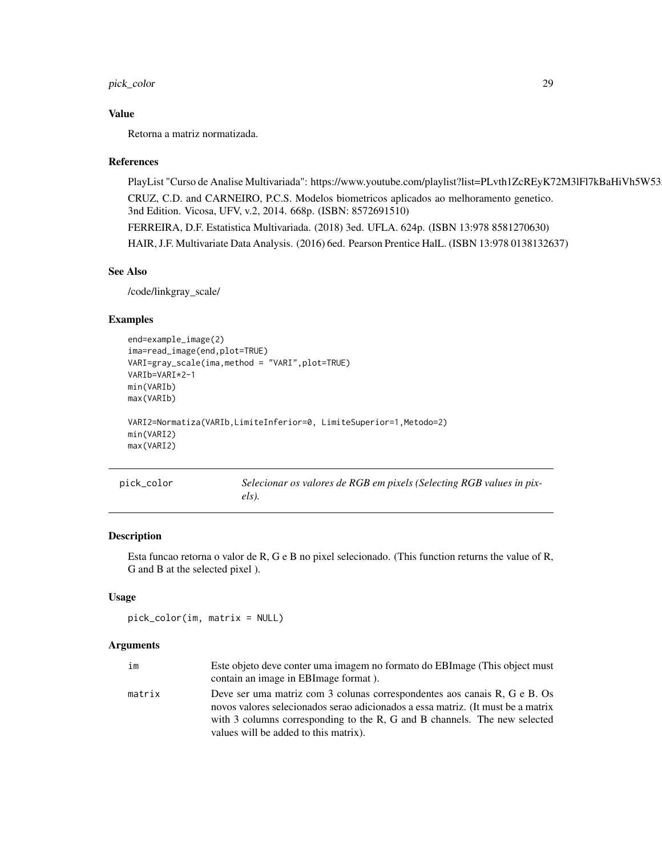# <span id="page-28-0"></span>pick\_color 29

#### Value

Retorna a matriz normatizada.

#### References

PlayList "Curso de Analise Multivariada": https://www.youtube.com/playlist?list=PLvth1ZcREyK72M3lFl7kBaHiVh5W53 CRUZ, C.D. and CARNEIRO, P.C.S. Modelos biometricos aplicados ao melhoramento genetico. 3nd Edition. Vicosa, UFV, v.2, 2014. 668p. (ISBN: 8572691510) FERREIRA, D.F. Estatistica Multivariada. (2018) 3ed. UFLA. 624p. (ISBN 13:978 8581270630) HAIR, J.F. Multivariate Data Analysis. (2016) 6ed. Pearson Prentice HalL. (ISBN 13:978 0138132637)

#### See Also

/code/linkgray\_scale/

#### Examples

```
end=example_image(2)
ima=read_image(end,plot=TRUE)
VARI=gray_scale(ima,method = "VARI",plot=TRUE)
VARIb=VARI*2-1
min(VARIb)
max(VARIb)
VARI2=Normatiza(VARIb,LimiteInferior=0, LimiteSuperior=1,Metodo=2)
min(VARI2)
max(VARI2)
```
<span id="page-28-1"></span>

| pick_color | Selecionar os valores de RGB em pixels (Selecting RGB values in pix- |
|------------|----------------------------------------------------------------------|
|            | $els$ ).                                                             |

# Description

Esta funcao retorna o valor de R, G e B no pixel selecionado. (This function returns the value of R, G and B at the selected pixel ).

#### Usage

```
pick_color(im, matrix = NULL)
```

| im     | Este objeto deve conter uma imagem no formato do EBI mage (This object must      |
|--------|----------------------------------------------------------------------------------|
|        | contain an image in EBI mage format).                                            |
| matrix | Deve ser uma matriz com 3 colunas correspondentes aos canais R, G e B. Os        |
|        | novos valores selecionados serao adicionados a essa matriz. (It must be a matrix |
|        | with 3 columns corresponding to the R, G and B channels. The new selected        |
|        | values will be added to this matrix).                                            |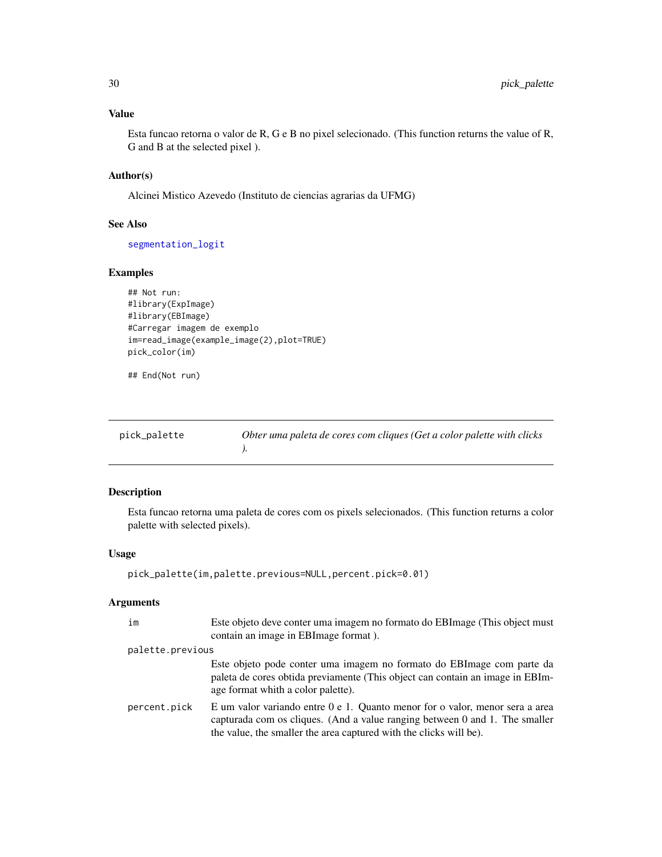<span id="page-29-0"></span>Esta funcao retorna o valor de R, G e B no pixel selecionado. (This function returns the value of R, G and B at the selected pixel ).

# Author(s)

Alcinei Mistico Azevedo (Instituto de ciencias agrarias da UFMG)

# See Also

[segmentation\\_logit](#page-41-1)

# Examples

```
## Not run:
#library(ExpImage)
#library(EBImage)
#Carregar imagem de exemplo
im=read_image(example_image(2),plot=TRUE)
pick_color(im)
```
## End(Not run)

| pick_palette | Obter uma paleta de cores com cliques (Get a color palette with clicks |
|--------------|------------------------------------------------------------------------|
|              |                                                                        |

# Description

Esta funcao retorna uma paleta de cores com os pixels selecionados. (This function returns a color palette with selected pixels).

#### Usage

```
pick_palette(im,palette.previous=NULL,percent.pick=0.01)
```

| im               | Este objeto deve conter uma imagem no formato do EBI mage (This object must)<br>contain an image in EBImage format).                                                                                                                   |
|------------------|----------------------------------------------------------------------------------------------------------------------------------------------------------------------------------------------------------------------------------------|
| palette.previous |                                                                                                                                                                                                                                        |
|                  | Este objeto pode conter uma imagem no formato do EBI mage com parte da<br>paleta de cores obtida previamente (This object can contain an image in EBIm-<br>age format whith a color palette).                                          |
| percent.pick     | E um valor variando entre 0 e 1. Quanto menor for o valor, menor sera a area<br>capturada com os cliques. (And a value ranging between $0$ and $1$ . The smaller<br>the value, the smaller the area captured with the clicks will be). |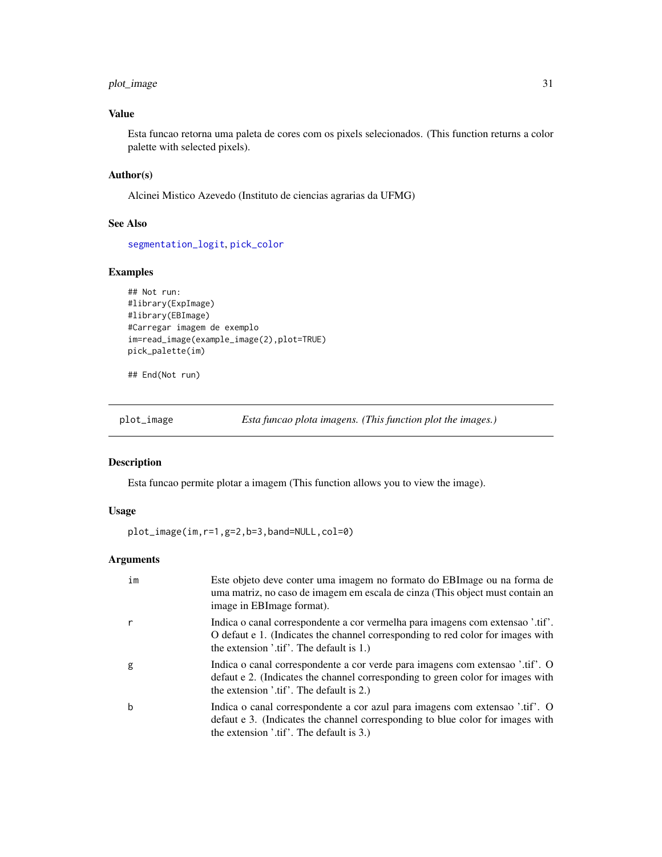# <span id="page-30-0"></span>plot\_image 31

# Value

Esta funcao retorna uma paleta de cores com os pixels selecionados. (This function returns a color palette with selected pixels).

# Author(s)

Alcinei Mistico Azevedo (Instituto de ciencias agrarias da UFMG)

# See Also

[segmentation\\_logit](#page-41-1), [pick\\_color](#page-28-1)

# Examples

```
## Not run:
#library(ExpImage)
#library(EBImage)
#Carregar imagem de exemplo
im=read_image(example_image(2),plot=TRUE)
pick_palette(im)
```
## End(Not run)

plot\_image *Esta funcao plota imagens. (This function plot the images.)*

#### Description

Esta funcao permite plotar a imagem (This function allows you to view the image).

# Usage

plot\_image(im,r=1,g=2,b=3,band=NULL,col=0)

| im          | Este objeto deve conter uma imagem no formato do EBI mage ou na forma de<br>uma matriz, no caso de imagem em escala de cinza (This object must contain an<br>image in EBImage format).                        |
|-------------|---------------------------------------------------------------------------------------------------------------------------------------------------------------------------------------------------------------|
| r           | Indica o canal correspondente a cor vermelha para imagens com extensao '.tif'.<br>O defaut e 1. (Indicates the channel corresponding to red color for images with<br>the extension '.tif'. The default is 1.) |
| g           | Indica o canal correspondente a cor verde para imagens com extensao '.tif'. O<br>defaut e 2. (Indicates the channel corresponding to green color for images with<br>the extension '.tif'. The default is 2.)  |
| $\mathbf b$ | Indica o canal correspondente a cor azul para imagens com extensao '.tif'. O<br>defaut e 3. (Indicates the channel corresponding to blue color for images with<br>the extension '.tif'. The default is 3.)    |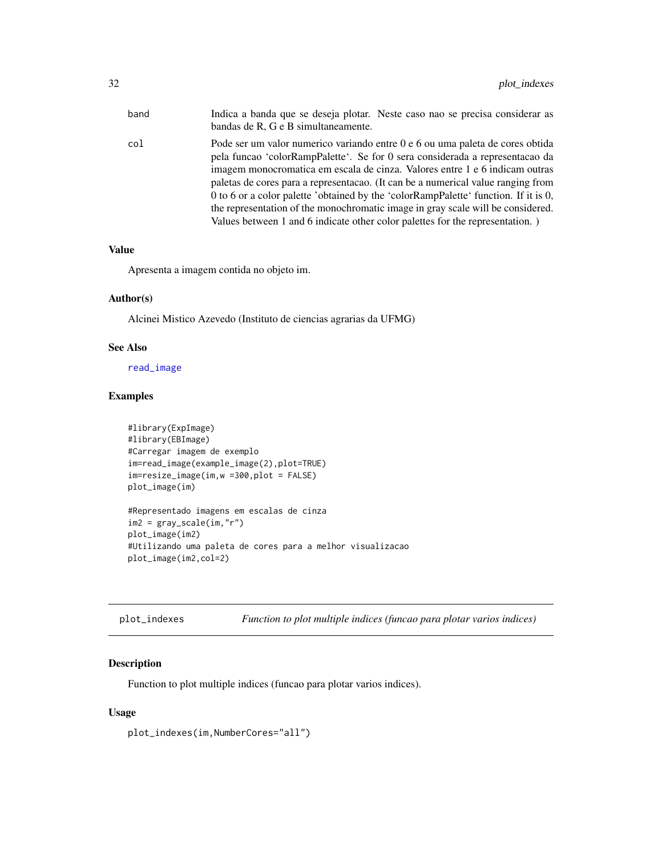<span id="page-31-0"></span>

| band | Indica a banda que se deseja plotar. Neste caso nao se precisa considerar as<br>bandas de R, G e B simultaneamente.                                                                                                                                                                                                                                                                                                                                                                                                                                                                         |
|------|---------------------------------------------------------------------------------------------------------------------------------------------------------------------------------------------------------------------------------------------------------------------------------------------------------------------------------------------------------------------------------------------------------------------------------------------------------------------------------------------------------------------------------------------------------------------------------------------|
| col  | Pode ser um valor numerico variando entre 0 e 6 ou uma paleta de cores obtida<br>pela funcao 'colorRampPalette'. Se for 0 sera considerada a representacao da<br>imagem monocromatica em escala de cinza. Valores entre 1 e 6 indicam outras<br>paletas de cores para a representacao. (It can be a numerical value ranging from<br>0 to 6 or a color palette 'obtained by the 'colorRampPalette' function. If it is 0,<br>the representation of the monochromatic image in gray scale will be considered.<br>Values between 1 and 6 indicate other color palettes for the representation.) |
|      |                                                                                                                                                                                                                                                                                                                                                                                                                                                                                                                                                                                             |

Apresenta a imagem contida no objeto im.

# Author(s)

Alcinei Mistico Azevedo (Instituto de ciencias agrarias da UFMG)

#### See Also

[read\\_image](#page-36-1)

# Examples

```
#library(ExpImage)
#library(EBImage)
#Carregar imagem de exemplo
im=read_image(example_image(2),plot=TRUE)
im=resize_image(im,w =300,plot = FALSE)
plot_image(im)
#Representado imagens em escalas de cinza
im2 = gray_scale(im,"r")
plot_image(im2)
```
#Utilizando uma paleta de cores para a melhor visualizacao

plot\_image(im2,col=2)

| plot_indexes | Function to plot multiple indices (funcao para plotar varios indices) |  |
|--------------|-----------------------------------------------------------------------|--|
|--------------|-----------------------------------------------------------------------|--|

# Description

Function to plot multiple indices (funcao para plotar varios indices).

#### Usage

plot\_indexes(im,NumberCores="all")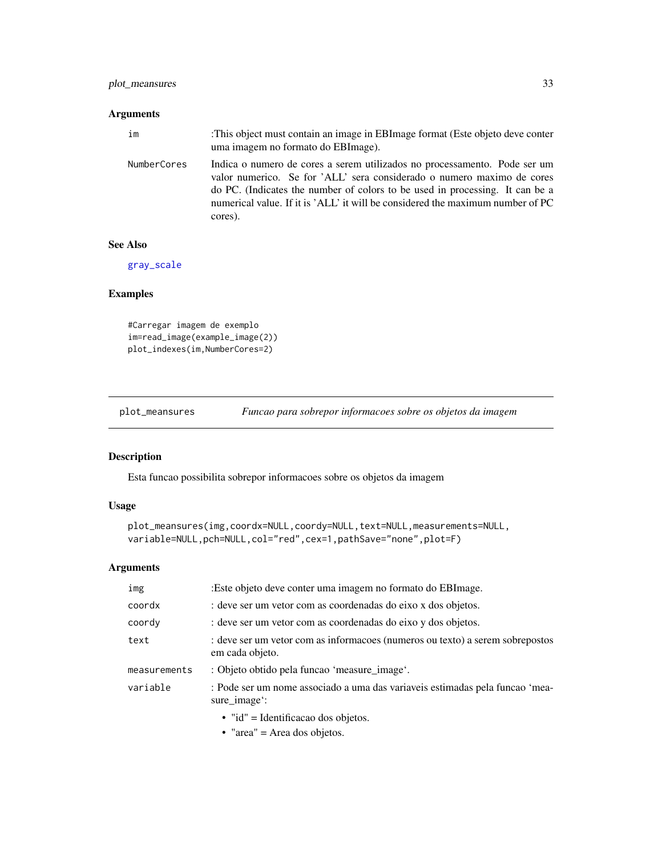# <span id="page-32-0"></span>plot\_meansures 33

#### Arguments

| im          | This object must contain an image in EBI mage format (Este objeto deve conter<br>uma imagem no formato do EBI mage).                                                                                                                                                                                                             |
|-------------|----------------------------------------------------------------------------------------------------------------------------------------------------------------------------------------------------------------------------------------------------------------------------------------------------------------------------------|
| NumberCores | Indica o numero de cores a serem utilizados no processamento. Pode ser um<br>valor numerico. Se for 'ALL' sera considerado o numero maximo de cores<br>do PC. (Indicates the number of colors to be used in processing. It can be a<br>numerical value. If it is 'ALL' it will be considered the maximum number of PC<br>cores). |

# See Also

[gray\\_scale](#page-14-1)

# Examples

```
#Carregar imagem de exemplo
im=read_image(example_image(2))
plot_indexes(im,NumberCores=2)
```
plot\_meansures *Funcao para sobrepor informacoes sobre os objetos da imagem*

#### Description

Esta funcao possibilita sobrepor informacoes sobre os objetos da imagem

# Usage

```
plot_meansures(img,coordx=NULL,coordy=NULL,text=NULL,measurements=NULL,
variable=NULL,pch=NULL,col="red",cex=1,pathSave="none",plot=F)
```
#### Arguments

| img          | :Este objeto deve conter uma imagem no formato do EBImage.                                       |
|--------------|--------------------------------------------------------------------------------------------------|
| coordx       | : deve ser um vetor com as coordenadas do eixo x dos objetos.                                    |
| coordy       | : deve ser um vetor com as coordenadas do eixo y dos objetos.                                    |
| text         | : deve ser um vetor com as informacoes (numeros ou texto) a serem sobrepostos<br>em cada objeto. |
| measurements | : Objeto obtido pela funcao 'measure_image'.                                                     |
| variable     | : Pode ser um nome associado a uma das variaveis estimadas pela funcao 'mea-<br>sure_image:      |
|              | $\bullet$ "id" = Identificacao dos objetos.                                                      |

• "area" = Area dos objetos.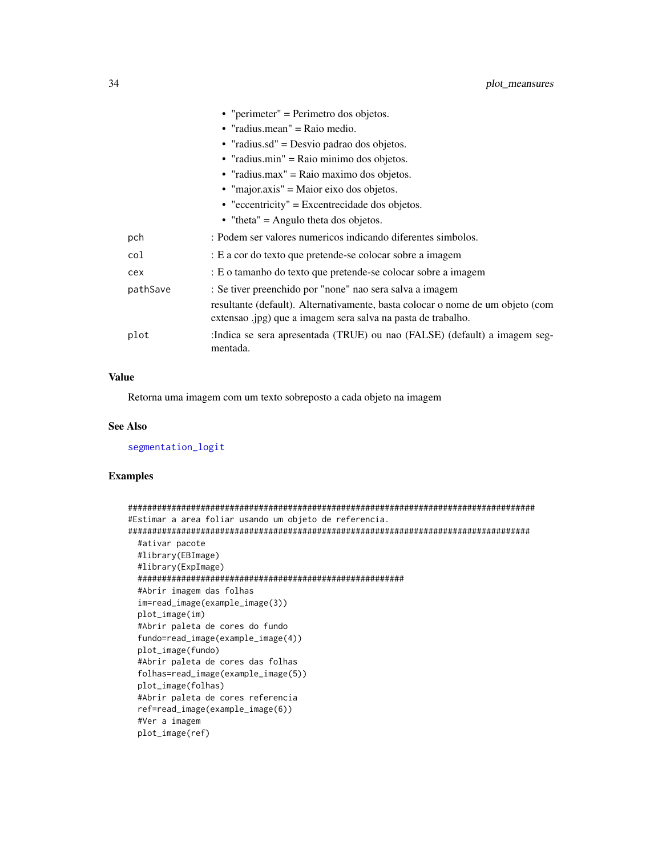<span id="page-33-0"></span>

|          | • "perimeter" = Perimetro dos objetos.                                                                                                         |
|----------|------------------------------------------------------------------------------------------------------------------------------------------------|
|          | • "radius.mean" = Raio medio.                                                                                                                  |
|          | • "radius.sd" = Desvio padrao dos objetos.                                                                                                     |
|          | • "radius.min" = Raio minimo dos objetos.                                                                                                      |
|          | • "radius.max" = Raio maximo dos objetos.                                                                                                      |
|          | $\bullet$ "major.axis" = Maior eixo dos objetos.                                                                                               |
|          | $\bullet$ "eccentricity" = Excentrecidade dos objetos.                                                                                         |
|          | • "theta" = Angulo theta dos objetos.                                                                                                          |
| pch      | : Podem ser valores numericos indicando diferentes simbolos.                                                                                   |
| col      | : E a cor do texto que pretende-se colocar sobre a imagem                                                                                      |
| cex      | : E o tamanho do texto que pretende-se colocar sobre a imagem                                                                                  |
| pathSave | : Se tiver preenchido por "none" nao sera salva a imagem                                                                                       |
|          | resultante (default). Alternativamente, basta colocar o nome de um objeto (com<br>extensao .jpg) que a imagem sera salva na pasta de trabalho. |
| plot     | :Indica se sera apresentada (TRUE) ou nao (FALSE) (default) a imagem seg-<br>mentada.                                                          |

Retorna uma imagem com um texto sobreposto a cada objeto na imagem

# See Also

[segmentation\\_logit](#page-41-1)

```
####################################################################################
#Estimar a area foliar usando um objeto de referencia.
###################################################################################
 #ativar pacote
 #library(EBImage)
 #library(ExpImage)
 #######################################################
 #Abrir imagem das folhas
 im=read_image(example_image(3))
 plot_image(im)
 #Abrir paleta de cores do fundo
 fundo=read_image(example_image(4))
 plot_image(fundo)
 #Abrir paleta de cores das folhas
 folhas=read_image(example_image(5))
 plot_image(folhas)
 #Abrir paleta de cores referencia
 ref=read_image(example_image(6))
 #Ver a imagem
 plot_image(ref)
```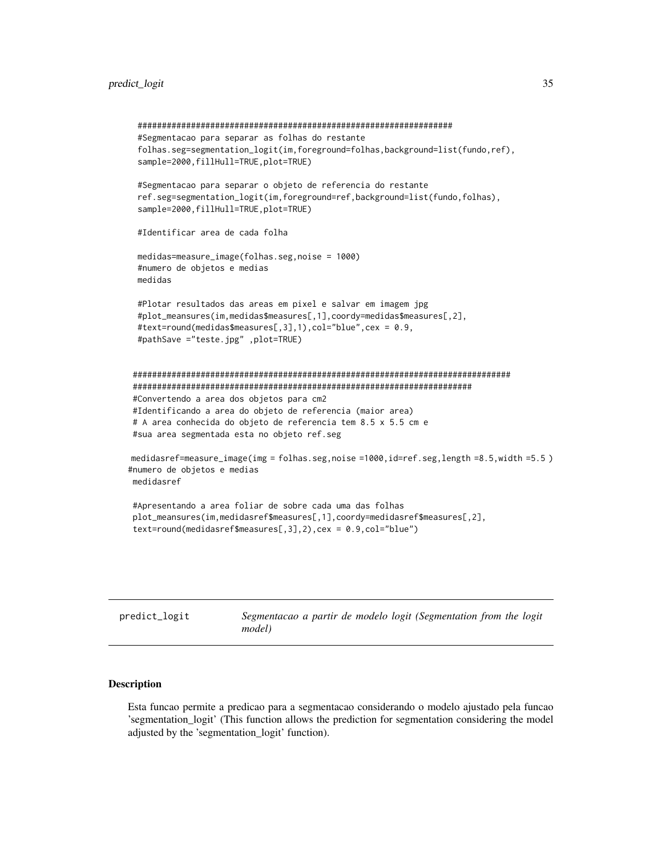```
#################################################################
 #Segmentacao para separar as folhas do restante
 folhas.seg=segmentation_logit(im,foreground=folhas,background=list(fundo,ref),
 sample=2000,fillHull=TRUE,plot=TRUE)
 #Segmentacao para separar o objeto de referencia do restante
 ref.seg=segmentation_logit(im,foreground=ref,background=list(fundo,folhas),
 sample=2000,fillHull=TRUE,plot=TRUE)
 #Identificar area de cada folha
 medidas=measure_image(folhas.seg,noise = 1000)
 #numero de objetos e medias
 medidas
 #Plotar resultados das areas em pixel e salvar em imagem jpg
 #plot_meansures(im,medidas$measures[,1],coordy=medidas$measures[,2],
 #text=round(medidas$measures[,3],1),col="blue",cex = 0.9,
 #pathSave ="teste.jpg" ,plot=TRUE)
##############################################################################
######################################################################
#Convertendo a area dos objetos para cm2
#Identificando a area do objeto de referencia (maior area)
# A area conhecida do objeto de referencia tem 8.5 x 5.5 cm e
#sua area segmentada esta no objeto ref.seg
medidasref=measure_image(img = folhas.seg,noise =1000,id=ref.seg,length =8.5,width =5.5 )
#numero de objetos e medias
medidasref
#Apresentando a area foliar de sobre cada uma das folhas
plot_meansures(im,medidasref$measures[,1],coordy=medidasref$measures[,2],
text=round(medidasref$measures[,3],2),cex = 0.9,col="blue")
```

| predict_logit |        |  |  | Segmentacao a partir de modelo logit (Segmentation from the logit |  |  |
|---------------|--------|--|--|-------------------------------------------------------------------|--|--|
|               | model) |  |  |                                                                   |  |  |

#### Description

Esta funcao permite a predicao para a segmentacao considerando o modelo ajustado pela funcao 'segmentation\_logit' (This function allows the prediction for segmentation considering the model adjusted by the 'segmentation\_logit' function).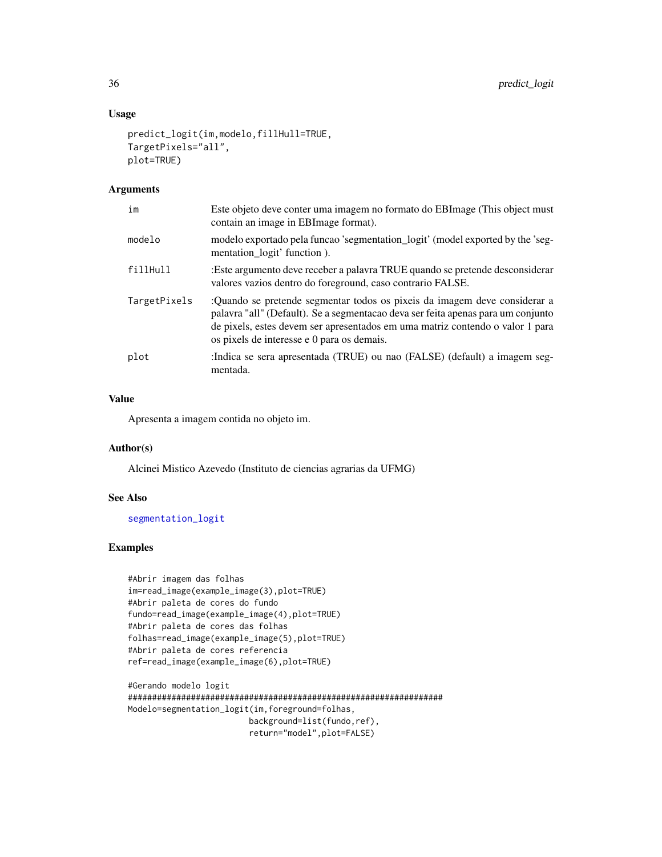# <span id="page-35-0"></span>Usage

```
predict_logit(im,modelo,fillHull=TRUE,
TargetPixels="all",
plot=TRUE)
```
#### Arguments

| im           | Este objeto deve conter uma imagem no formato do EBI mage (This object must<br>contain an image in EBI mage format).                                                                                                                                                                         |
|--------------|----------------------------------------------------------------------------------------------------------------------------------------------------------------------------------------------------------------------------------------------------------------------------------------------|
| modelo       | modelo exportado pela funcao 'segmentation_logit' (model exported by the 'seg-<br>mentation_logit' function).                                                                                                                                                                                |
| fillHull     | :Este argumento deve receber a palavra TRUE quando se pretende desconsiderar<br>valores vazios dentro do foreground, caso contrario FALSE.                                                                                                                                                   |
| TargetPixels | :Quando se pretende segmentar todos os pixeis da imagem deve considerar a<br>palavra "all" (Default). Se a segmentacao deva ser feita apenas para um conjunto<br>de pixels, estes devem ser apresentados em uma matriz contendo o valor 1 para<br>os pixels de interesse e 0 para os demais. |
| plot         | :Indica se sera apresentada (TRUE) ou nao (FALSE) (default) a imagem seg-<br>mentada.                                                                                                                                                                                                        |

# Value

Apresenta a imagem contida no objeto im.

#### Author(s)

Alcinei Mistico Azevedo (Instituto de ciencias agrarias da UFMG)

# See Also

[segmentation\\_logit](#page-41-1)

# Examples

```
#Abrir imagem das folhas
im=read_image(example_image(3),plot=TRUE)
#Abrir paleta de cores do fundo
fundo=read_image(example_image(4),plot=TRUE)
#Abrir paleta de cores das folhas
folhas=read_image(example_image(5),plot=TRUE)
#Abrir paleta de cores referencia
ref=read_image(example_image(6),plot=TRUE)
```
#Gerando modelo logit ################################################################# Modelo=segmentation\_logit(im,foreground=folhas, background=list(fundo,ref), return="model",plot=FALSE)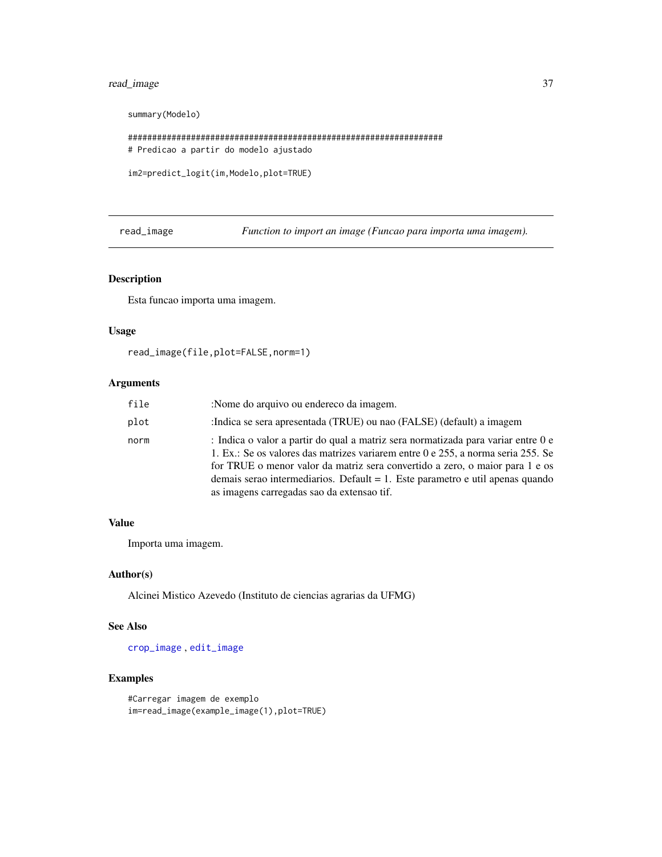# <span id="page-36-0"></span>read\_image 37

```
summary(Modelo)
```

```
#################################################################
# Predicao a partir do modelo ajustado
```

```
im2=predict_logit(im,Modelo,plot=TRUE)
```
<span id="page-36-1"></span>read\_image *Function to import an image (Funcao para importa uma imagem).*

# Description

Esta funcao importa uma imagem.

#### Usage

```
read_image(file,plot=FALSE,norm=1)
```
# Arguments

| file | :Nome do arquivo ou endereco da imagem.                                                                                                                                                                                                                                                                                                                                              |
|------|--------------------------------------------------------------------------------------------------------------------------------------------------------------------------------------------------------------------------------------------------------------------------------------------------------------------------------------------------------------------------------------|
| plot | : Indica se sera apresentada (TRUE) ou nao (FALSE) (default) a imagem                                                                                                                                                                                                                                                                                                                |
| norm | : Indica o valor a partir do qual a matriz sera normatizada para variar entre 0 e<br>1. Ex.: Se os valores das matrizes variarem entre 0 e 255, a norma seria 255. Se<br>for TRUE o menor valor da matriz sera convertido a zero, o maior para 1 e os<br>demais serao intermediarios. Default = 1. Este parametro e util apenas quando<br>as imagens carregadas sao da extensao tif. |

# Value

Importa uma imagem.

#### Author(s)

Alcinei Mistico Azevedo (Instituto de ciencias agrarias da UFMG)

#### See Also

[crop\\_image](#page-6-1) , [edit\\_image](#page-8-1)

```
#Carregar imagem de exemplo
im=read_image(example_image(1),plot=TRUE)
```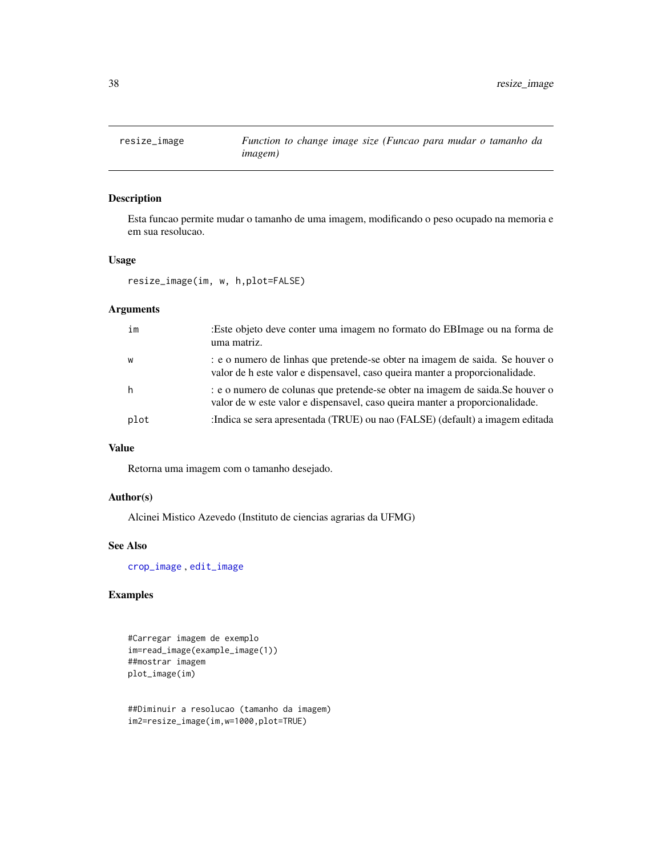<span id="page-37-0"></span>

#### Description

Esta funcao permite mudar o tamanho de uma imagem, modificando o peso ocupado na memoria e em sua resolucao.

#### Usage

resize\_image(im, w, h,plot=FALSE)

# Arguments

| im   | :Este objeto deve conter uma imagem no formato do EBImage ou na forma de<br>uma matriz.                                                                       |
|------|---------------------------------------------------------------------------------------------------------------------------------------------------------------|
| W    | e o numero de linhas que pretende-se obter na imagem de saida. Se houver o<br>valor de h este valor e dispensavel, caso queira manter a proporcionalidade.    |
|      | : e o numero de colunas que pretende-se obter na imagem de saida. Se houver o<br>valor de w este valor e dispensavel, caso queira manter a proporcionalidade. |
| plot | :Indica se sera apresentada (TRUE) ou nao (FALSE) (default) a imagem editada                                                                                  |

#### Value

Retorna uma imagem com o tamanho desejado.

#### Author(s)

Alcinei Mistico Azevedo (Instituto de ciencias agrarias da UFMG)

#### See Also

[crop\\_image](#page-6-1) , [edit\\_image](#page-8-1)

# Examples

#Carregar imagem de exemplo im=read\_image(example\_image(1)) ##mostrar imagem plot\_image(im)

##Diminuir a resolucao (tamanho da imagem) im2=resize\_image(im,w=1000,plot=TRUE)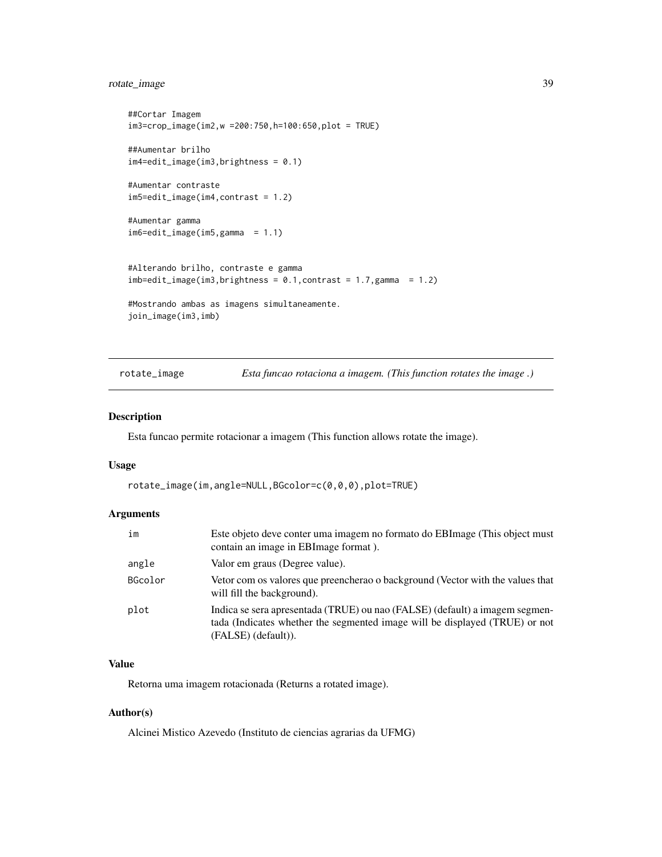# <span id="page-38-0"></span>rotate\_image 39

```
##Cortar Imagem
im3=crop_image(im2,w =200:750,h=100:650,plot = TRUE)
##Aumentar brilho
im4=edit_image(im3,brightness = 0.1)
#Aumentar contraste
im5=edit_image(im4,contrast = 1.2)
#Aumentar gamma
im6=edit_image(im5,gamma = 1.1)
#Alterando brilho, contraste e gamma
imb = edit\_image(im3, brightness = 0.1, contrast = 1.7,gamma = 1.2)#Mostrando ambas as imagens simultaneamente.
join_image(im3,imb)
```
rotate\_image *Esta funcao rotaciona a imagem. (This function rotates the image .)*

#### Description

Esta funcao permite rotacionar a imagem (This function allows rotate the image).

#### Usage

```
rotate_image(im,angle=NULL,BGcolor=c(0,0,0),plot=TRUE)
```
#### Arguments

| im      | Este objeto deve conter uma imagem no formato do EBI mage (This object must<br>contain an image in EBI mage format).                                                              |
|---------|-----------------------------------------------------------------------------------------------------------------------------------------------------------------------------------|
| angle   | Valor em graus (Degree value).                                                                                                                                                    |
| BGcolor | Vetor com os valores que preencherao o background (Vector with the values that<br>will fill the background).                                                                      |
| plot    | Indica se sera apresentada (TRUE) ou nao (FALSE) (default) a imagem segmen-<br>tada (Indicates whether the segmented image will be displayed (TRUE) or not<br>(FALSE) (default)). |

# Value

Retorna uma imagem rotacionada (Returns a rotated image).

#### Author(s)

Alcinei Mistico Azevedo (Instituto de ciencias agrarias da UFMG)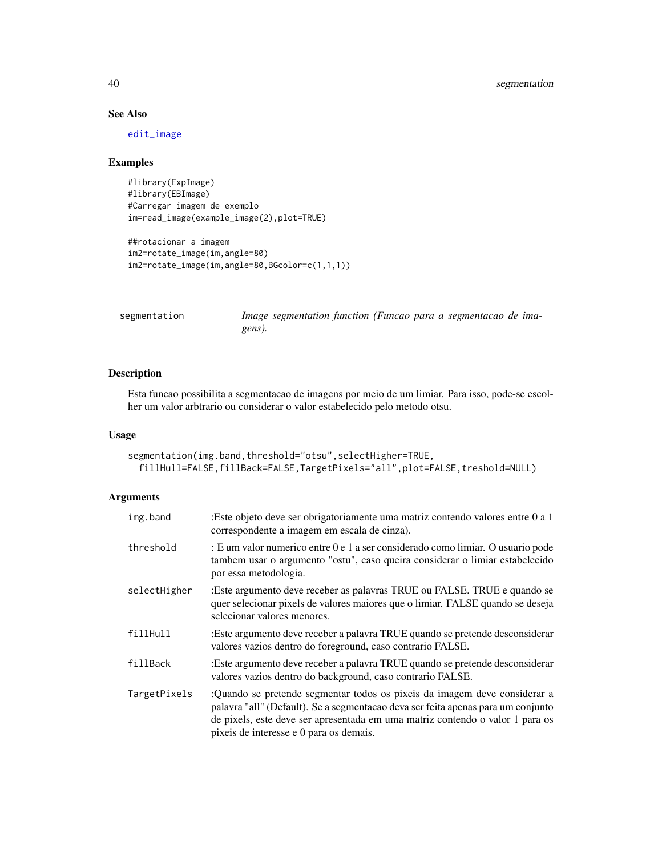# See Also

[edit\\_image](#page-8-1)

#### Examples

```
#library(ExpImage)
#library(EBImage)
#Carregar imagem de exemplo
im=read_image(example_image(2),plot=TRUE)
```

```
##rotacionar a imagem
im2=rotate_image(im,angle=80)
im2=rotate_image(im,angle=80,BGcolor=c(1,1,1))
```
<span id="page-39-1"></span>segmentation *Image segmentation function (Funcao para a segmentacao de imagens).*

# Description

Esta funcao possibilita a segmentacao de imagens por meio de um limiar. Para isso, pode-se escolher um valor arbtrario ou considerar o valor estabelecido pelo metodo otsu.

#### Usage

```
segmentation(img.band,threshold="otsu",selectHigher=TRUE,
 fillHull=FALSE,fillBack=FALSE,TargetPixels="all",plot=FALSE,treshold=NULL)
```

| img.band     | :Este objeto deve ser obrigatoriamente uma matriz contendo valores entre 0 a 1<br>correspondente a imagem em escala de cinza).                                                                                                                                                            |
|--------------|-------------------------------------------------------------------------------------------------------------------------------------------------------------------------------------------------------------------------------------------------------------------------------------------|
| threshold    | : E um valor numerico entre 0 e 1 a ser considerado como limiar. O usuario pode<br>tambem usar o argumento "ostu", caso queira considerar o limiar estabelecido<br>por essa metodologia.                                                                                                  |
| selectHigher | :Este argumento deve receber as palavras TRUE ou FALSE. TRUE e quando se<br>quer selecionar pixels de valores maiores que o limiar. FALSE quando se deseja<br>selecionar valores menores.                                                                                                 |
| fillHull     | :Este argumento deve receber a palavra TRUE quando se pretende desconsiderar<br>valores vazios dentro do foreground, caso contrario FALSE.                                                                                                                                                |
| fillBack     | :Este argumento deve receber a palavra TRUE quando se pretende desconsiderar<br>valores vazios dentro do background, caso contrario FALSE.                                                                                                                                                |
| TargetPixels | :Quando se pretende segmentar todos os pixeis da imagem deve considerar a<br>palavra "all" (Default). Se a segmentacao deva ser feita apenas para um conjunto<br>de pixels, este deve ser apresentada em uma matriz contendo o valor 1 para os<br>pixeis de interesse e 0 para os demais. |

<span id="page-39-0"></span>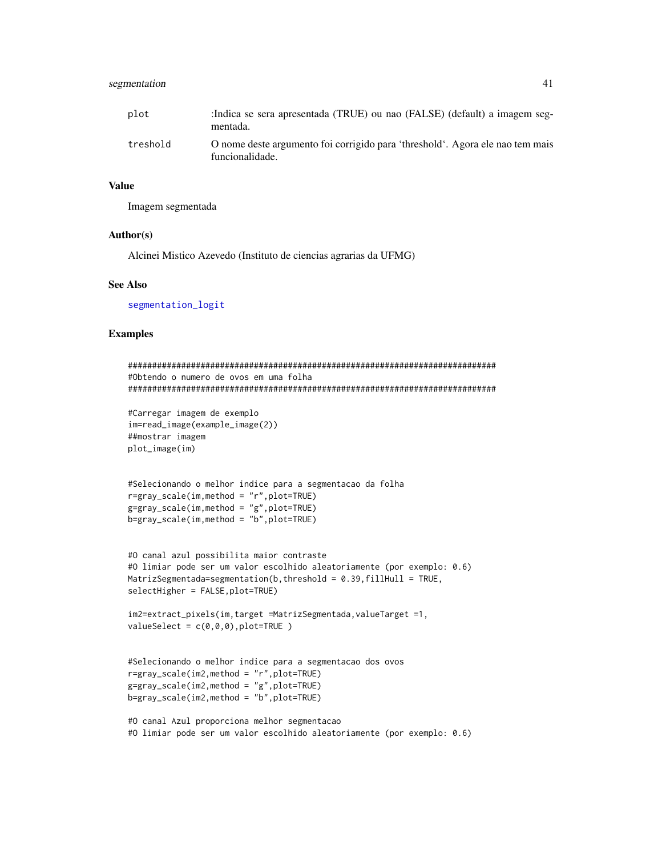# <span id="page-40-0"></span>segmentation 41

| plot     | :Indica se sera apresentada (TRUE) ou nao (FALSE) (default) a imagem seg-<br>mentada.            |
|----------|--------------------------------------------------------------------------------------------------|
| treshold | O nome deste argumento foi corrigido para 'threshold'. Agora ele nao tem mais<br>funcionalidade. |

#### Value

Imagem segmentada

#### Author(s)

Alcinei Mistico Azevedo (Instituto de ciencias agrarias da UFMG)

# See Also

[segmentation\\_logit](#page-41-1)

#### Examples

```
############################################################################
#Obtendo o numero de ovos em uma folha
############################################################################
#Carregar imagem de exemplo
im=read_image(example_image(2))
##mostrar imagem
plot_image(im)
#Selecionando o melhor indice para a segmentacao da folha
r=gray_scale(im,method = "r",plot=TRUE)
g=gray_scale(im,method = "g",plot=TRUE)
b=gray_scale(im,method = "b",plot=TRUE)
#O canal azul possibilita maior contraste
#O limiar pode ser um valor escolhido aleatoriamente (por exemplo: 0.6)
MatrizSegmentada=segmentation(b, threshold = 0.39, fillHull = TRUE,
selectHigher = FALSE,plot=TRUE)
im2=extract_pixels(im,target =MatrizSegmentada,valueTarget =1,
valueSelect = c(0,0,0), plot=True)
#Selecionando o melhor indice para a segmentacao dos ovos
r=gray_scale(im2,method = "r",plot=TRUE)
g=gray_scale(im2,method = "g",plot=TRUE)
b=gray_scale(im2,method = "b",plot=TRUE)
#O canal Azul proporciona melhor segmentacao
```
#O limiar pode ser um valor escolhido aleatoriamente (por exemplo: 0.6)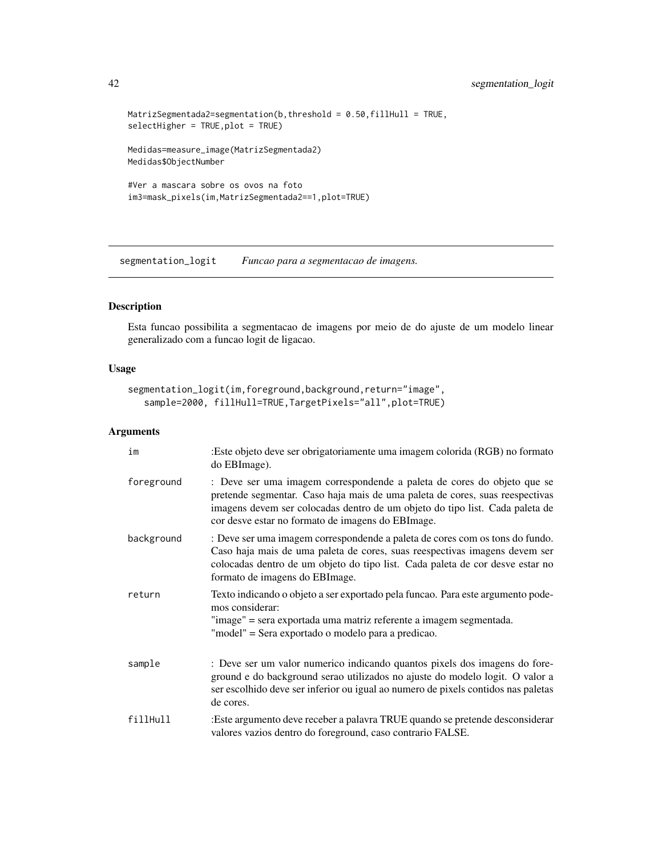```
MatrizSegmentada2=segmentation(b,threshold = 0.50,fillHull = TRUE,
selectHigher = TRUE,plot = TRUE)
Medidas=measure_image(MatrizSegmentada2)
Medidas$ObjectNumber
#Ver a mascara sobre os ovos na foto
im3=mask_pixels(im,MatrizSegmentada2==1,plot=TRUE)
```
<span id="page-41-1"></span>segmentation\_logit *Funcao para a segmentacao de imagens.*

# Description

Esta funcao possibilita a segmentacao de imagens por meio de do ajuste de um modelo linear generalizado com a funcao logit de ligacao.

# Usage

```
segmentation_logit(im,foreground,background,return="image",
   sample=2000, fillHull=TRUE,TargetPixels="all",plot=TRUE)
```

| im         | :Este objeto deve ser obrigatoriamente uma imagem colorida (RGB) no formato<br>do EBImage).                                                                                                                                                                                                  |
|------------|----------------------------------------------------------------------------------------------------------------------------------------------------------------------------------------------------------------------------------------------------------------------------------------------|
| foreground | : Deve ser uma imagem correspondende a paleta de cores do objeto que se<br>pretende segmentar. Caso haja mais de uma paleta de cores, suas reespectivas<br>imagens devem ser colocadas dentro de um objeto do tipo list. Cada paleta de<br>cor desve estar no formato de imagens do EBImage. |
| background | : Deve ser uma imagem correspondende a paleta de cores com os tons do fundo.<br>Caso haja mais de uma paleta de cores, suas reespectivas imagens devem ser<br>colocadas dentro de um objeto do tipo list. Cada paleta de cor desve estar no<br>formato de imagens do EBI mage.               |
| return     | Texto indicando o objeto a ser exportado pela funcao. Para este argumento pode-<br>mos considerar:<br>"image" = sera exportada uma matriz referente a imagem segmentada.<br>"model" = Sera exportado o modelo para a predicao.                                                               |
| sample     | : Deve ser um valor numerico indicando quantos pixels dos imagens do fore-<br>ground e do background serao utilizados no ajuste do modelo logit. O valor a<br>ser escolhido deve ser inferior ou igual ao numero de pixels contidos nas paletas<br>de cores.                                 |
| fillHull   | :Este argumento deve receber a palavra TRUE quando se pretende desconsiderar<br>valores vazios dentro do foreground, caso contrario FALSE.                                                                                                                                                   |

<span id="page-41-0"></span>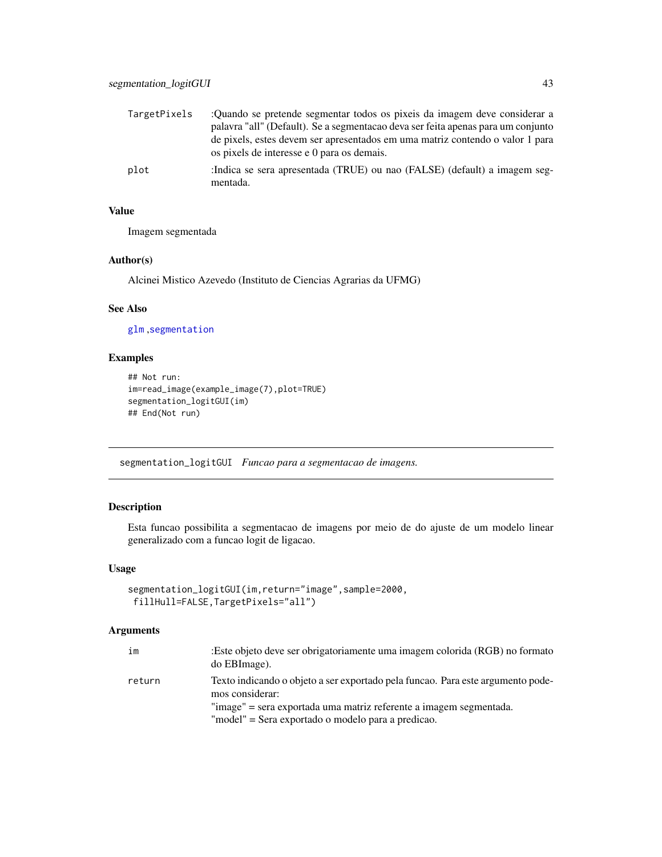<span id="page-42-0"></span>

| TargetPixels | :Quando se pretende segmentar todos os pixeis da imagem deve considerar a<br>palavra "all" (Default). Se a segmentação deva ser feita apenas para um conjunto |
|--------------|---------------------------------------------------------------------------------------------------------------------------------------------------------------|
|              | de pixels, estes devem ser apresentados em uma matriz contendo o valor 1 para<br>os pixels de interesse e 0 para os demais.                                   |
| plot         | :Indica se sera apresentada (TRUE) ou nao (FALSE) (default) a imagem seg-<br>mentada.                                                                         |

Imagem segmentada

#### Author(s)

Alcinei Mistico Azevedo (Instituto de Ciencias Agrarias da UFMG)

# See Also

[glm](#page-0-0) ,[segmentation](#page-39-1)

# Examples

```
## Not run:
im=read_image(example_image(7),plot=TRUE)
segmentation_logitGUI(im)
## End(Not run)
```
segmentation\_logitGUI *Funcao para a segmentacao de imagens.*

# Description

Esta funcao possibilita a segmentacao de imagens por meio de do ajuste de um modelo linear generalizado com a funcao logit de ligacao.

#### Usage

```
segmentation_logitGUI(im,return="image",sample=2000,
fillHull=FALSE,TargetPixels="all")
```

| im     | :Este objeto deve ser obrigatoriamente uma imagem colorida (RGB) no formato<br>do EBImage).        |
|--------|----------------------------------------------------------------------------------------------------|
| return | Texto indicando o objeto a ser exportado pela funcao. Para este argumento pode-<br>mos considerar: |
|        | "image" = sera exportada uma matriz referente a imagem segmentada.                                 |
|        | "model" = Sera exportado o modelo para a predicao.                                                 |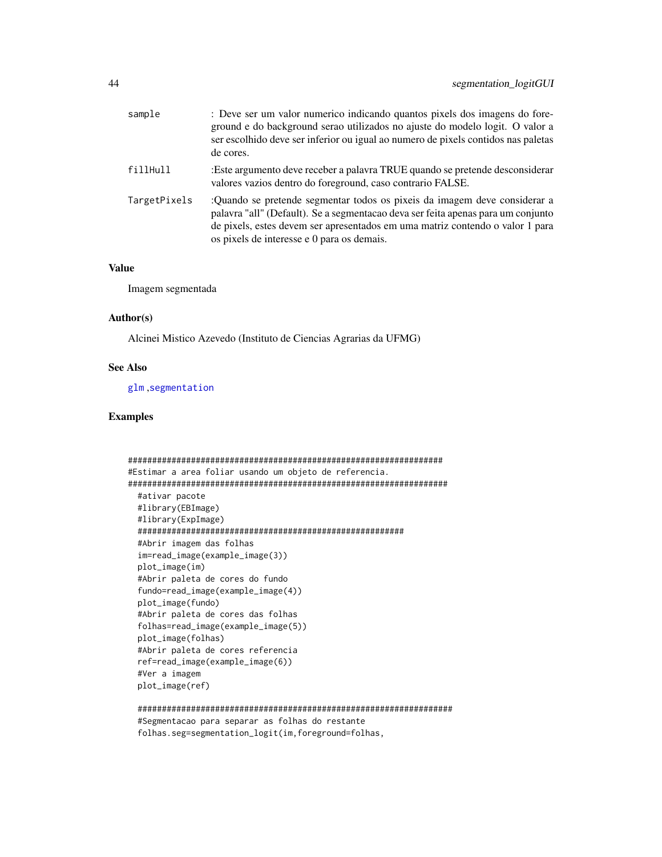<span id="page-43-0"></span>

| sample       | : Deve ser um valor numerico indicando quantos pixels dos imagens do fore-<br>ground e do background serao utilizados no ajuste do modelo logit. O valor a<br>ser escolhido deve ser inferior ou igual ao numero de pixels contidos nas paletas<br>de cores.                                 |
|--------------|----------------------------------------------------------------------------------------------------------------------------------------------------------------------------------------------------------------------------------------------------------------------------------------------|
| fillHull     | :Este argumento deve receber a palavra TRUE quando se pretende desconsiderar<br>valores vazios dentro do foreground, caso contrario FALSE.                                                                                                                                                   |
| TargetPixels | :Quando se pretende segmentar todos os pixeis da imagem deve considerar a<br>palavra "all" (Default). Se a segmentacao deva ser feita apenas para um conjunto<br>de pixels, estes devem ser apresentados em uma matriz contendo o valor 1 para<br>os pixels de interesse e 0 para os demais. |

Imagem segmentada

#### Author(s)

Alcinei Mistico Azevedo (Instituto de Ciencias Agrarias da UFMG)

#### See Also

[glm](#page-0-0) ,[segmentation](#page-39-1)

#### Examples

```
#################################################################
#Estimar a area foliar usando um objeto de referencia.
##################################################################
 #ativar pacote
 #library(EBImage)
 #library(ExpImage)
 #######################################################
 #Abrir imagem das folhas
 im=read_image(example_image(3))
 plot_image(im)
 #Abrir paleta de cores do fundo
 fundo=read_image(example_image(4))
 plot_image(fundo)
 #Abrir paleta de cores das folhas
 folhas=read_image(example_image(5))
 plot_image(folhas)
 #Abrir paleta de cores referencia
 ref=read_image(example_image(6))
 #Ver a imagem
 plot_image(ref)
```
################################################################# #Segmentacao para separar as folhas do restante folhas.seg=segmentation\_logit(im,foreground=folhas,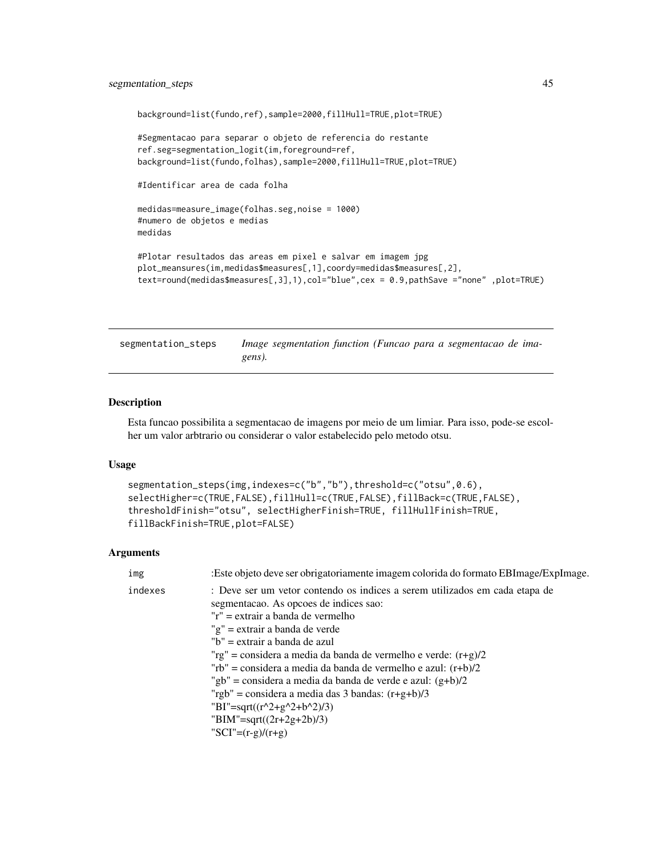# <span id="page-44-0"></span>segmentation\_steps 45

```
background=list(fundo,ref),sample=2000,fillHull=TRUE,plot=TRUE)
#Segmentacao para separar o objeto de referencia do restante
ref.seg=segmentation_logit(im,foreground=ref,
background=list(fundo,folhas),sample=2000,fillHull=TRUE,plot=TRUE)
#Identificar area de cada folha
medidas=measure_image(folhas.seg,noise = 1000)
#numero de objetos e medias
medidas
#Plotar resultados das areas em pixel e salvar em imagem jpg
plot_meansures(im,medidas$measures[,1],coordy=medidas$measures[,2],
text=round(medidas$measures[,3],1),col="blue",cex = 0.9,pathSave ="none" ,plot=TRUE)
```
segmentation\_steps *Image segmentation function (Funcao para a segmentacao de imagens).*

#### Description

Esta funcao possibilita a segmentacao de imagens por meio de um limiar. Para isso, pode-se escolher um valor arbtrario ou considerar o valor estabelecido pelo metodo otsu.

# Usage

```
segmentation_steps(img,indexes=c("b","b"),threshold=c("otsu",0.6),
selectHigher=c(TRUE,FALSE),fillHull=c(TRUE,FALSE),fillBack=c(TRUE,FALSE),
thresholdFinish="otsu", selectHigherFinish=TRUE, fillHullFinish=TRUE,
fillBackFinish=TRUE,plot=FALSE)
```

| img     | : Este objeto deve ser obrigatoriamente imagem colorida do formato EBI mage/ExpI mage.                                |
|---------|-----------------------------------------------------------------------------------------------------------------------|
| indexes | : Deve ser um vetor contendo os indices a serem utilizados em cada etapa de<br>segmentacao. As opcoes de indices sao: |
|         | "r" = extrair a banda de vermelho                                                                                     |
|         | "g" = extrair a banda de verde                                                                                        |
|         | "b" = extrair a banda de azul                                                                                         |
|         | "rg" = considera a media da banda de vermelho e verde: $(r+g)/2$                                                      |
|         | "rb" = considera a media da banda de vermelho e azul: $(r+b)/2$                                                       |
|         | "gb" = considera a media da banda de verde e azul: $(g+b)/2$                                                          |
|         | "rgb" = considera a media das 3 bandas: $(r+g+b)/3$                                                                   |
|         | "BI"=sqrt( $(r^2+g^2+b^2)/3$ )                                                                                        |
|         | "BIM"=sqrt( $(2r+2g+2b)/3$ )                                                                                          |
|         | "SCI"= $(r-g)/(r+g)$                                                                                                  |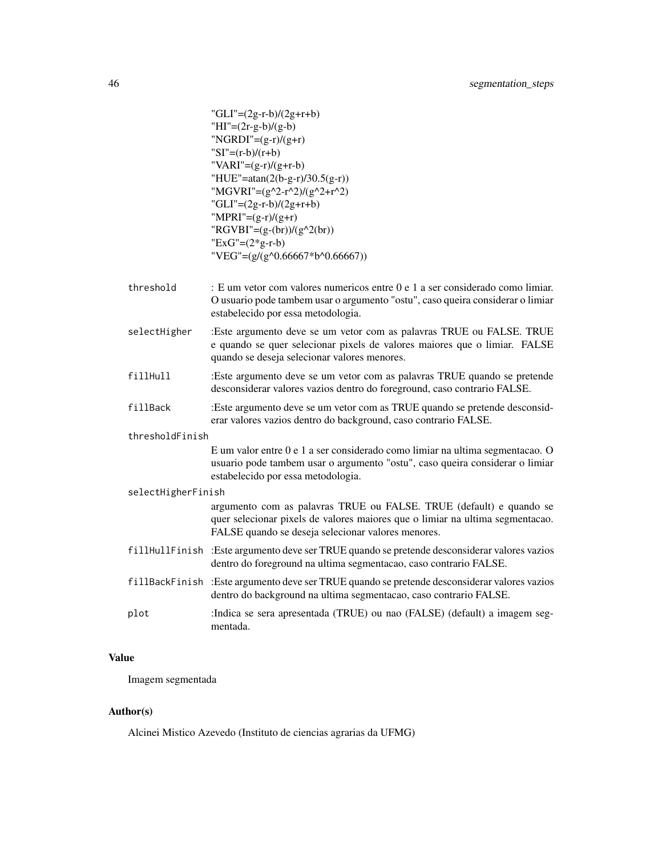```
"GLI"=(2g-r-b)/(2g+r+b)HI''=(2r-g-b)/(g-b)"NGRDI"=(g-r)/(g+r)"SI"=(r-b)/(r+b)\text{WARI} = (g-r)/(g+r-b)"HUE"=atan(2(b-g-r)/30.5(g-r))
"MGVRI"=(g^2-r^2)/(g^2+r^2)"GLI"=(2g-r-b)/(2g+r+b)"MPRI"=(g-r)/(g+r)"RGVBI"=(g-(br))/(g^2(br))"ExG"=(2*g-r-b)"VEG"=(g/(g^0.66667*b^0.66667))
```
- threshold : E um vetor com valores numericos entre 0 e 1 a ser considerado como limiar. O usuario pode tambem usar o argumento "ostu", caso queira considerar o limiar estabelecido por essa metodologia.
- selectHigher :Este argumento deve se um vetor com as palavras TRUE ou FALSE. TRUE e quando se quer selecionar pixels de valores maiores que o limiar. FALSE quando se deseja selecionar valores menores.
- fillHull :Este argumento deve se um vetor com as palavras TRUE quando se pretende desconsiderar valores vazios dentro do foreground, caso contrario FALSE.
- fillBack :Este argumento deve se um vetor com as TRUE quando se pretende desconsiderar valores vazios dentro do background, caso contrario FALSE.

#### thresholdFinish

E um valor entre 0 e 1 a ser considerado como limiar na ultima segmentacao. O usuario pode tambem usar o argumento "ostu", caso queira considerar o limiar estabelecido por essa metodologia.

#### selectHigherFinish

argumento com as palavras TRUE ou FALSE. TRUE (default) e quando se quer selecionar pixels de valores maiores que o limiar na ultima segmentacao. FALSE quando se deseja selecionar valores menores.

- fillHullFinish :Este argumento deve ser TRUE quando se pretende desconsiderar valores vazios dentro do foreground na ultima segmentacao, caso contrario FALSE.
- fillBackFinish :Este argumento deve ser TRUE quando se pretende desconsiderar valores vazios dentro do background na ultima segmentacao, caso contrario FALSE.
- plot :Indica se sera apresentada (TRUE) ou nao (FALSE) (default) a imagem segmentada.

#### Value

Imagem segmentada

#### Author(s)

Alcinei Mistico Azevedo (Instituto de ciencias agrarias da UFMG)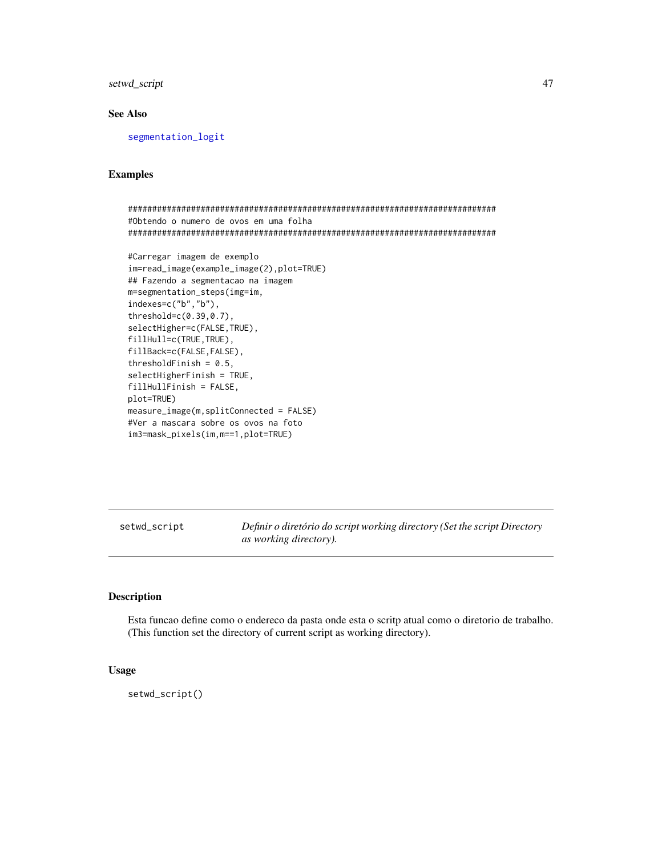<span id="page-46-0"></span>setwd\_script 47

# See Also

[segmentation\\_logit](#page-41-1)

# Examples

```
############################################################################
#Obtendo o numero de ovos em uma folha
############################################################################
#Carregar imagem de exemplo
im=read_image(example_image(2),plot=TRUE)
## Fazendo a segmentacao na imagem
m=segmentation_steps(img=im,
indexes=c("b","b"),
threshold=c(0.39,0.7),
selectHigher=c(FALSE,TRUE),
fillHull=c(TRUE,TRUE),
fillBack=c(FALSE,FALSE),
thresholdFinish = 0.5,
selectHigherFinish = TRUE,
fillHullFinish = FALSE,
plot=TRUE)
measure_image(m,splitConnected = FALSE)
#Ver a mascara sobre os ovos na foto
im3=mask_pixels(im,m==1,plot=TRUE)
```
setwd\_script *Definir o diretório do script working directory (Set the script Directory as working directory).*

# Description

Esta funcao define como o endereco da pasta onde esta o scritp atual como o diretorio de trabalho. (This function set the directory of current script as working directory).

#### Usage

setwd\_script()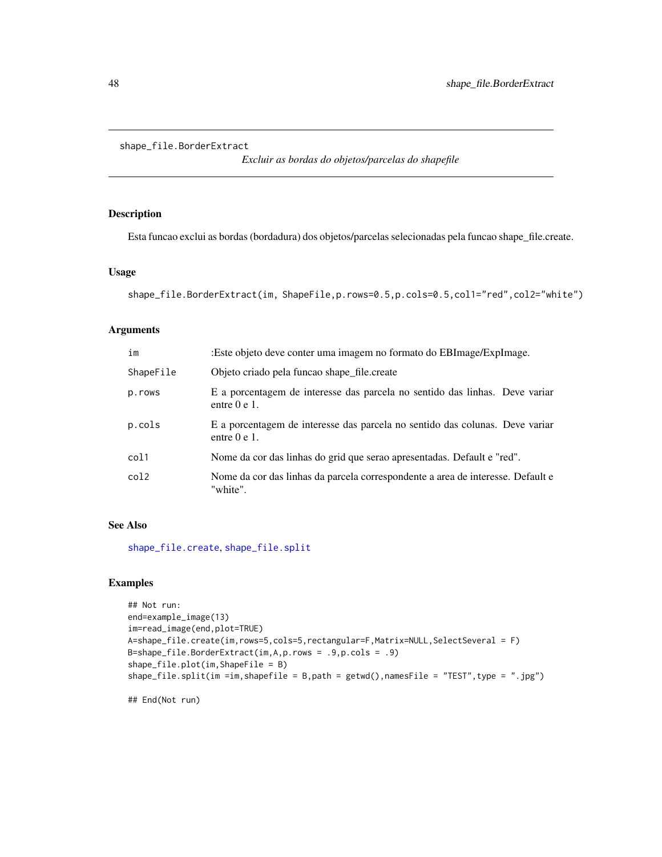```
shape_file.BorderExtract
```
*Excluir as bordas do objetos/parcelas do shapefile*

#### Description

Esta funcao exclui as bordas (bordadura) dos objetos/parcelas selecionadas pela funcao shape\_file.create.

# Usage

```
shape_file.BorderExtract(im, ShapeFile,p.rows=0.5,p.cols=0.5,col1="red",col2="white")
```
# Arguments

| im        | :Este objeto deve conter uma imagem no formato do EBImage/ExpImage.                           |
|-----------|-----------------------------------------------------------------------------------------------|
| ShapeFile | Objeto criado pela funcao shape file.create                                                   |
| p.rows    | E a porcentagem de interesse das parcela no sentido das linhas. Deve variar<br>entre $0e1$ .  |
| p.cols    | E a porcentagem de interesse das parcela no sentido das colunas. Deve variar<br>entre $0e1$ . |
| col1      | Nome da cor das linhas do grid que serao apresentadas. Default e "red".                       |
| col2      | Nome da cor das linhas da parcela correspondente a area de interesse. Default e<br>"white".   |

#### See Also

[shape\\_file.create](#page-48-1), [shape\\_file.split](#page-50-1)

# Examples

```
## Not run:
end=example_image(13)
im=read_image(end,plot=TRUE)
A=shape_file.create(im,rows=5,cols=5,rectangular=F,Matrix=NULL,SelectSeveral = F)
B=shape_file.BorderExtract(im,A,p.rows = .9,p.cols = .9)
shape_file.plot(im,ShapeFile = B)
shape_file.split(im =im,shapefile = B,path = getwd(),namesFile = "TEST",type = ".jpg")
```
## End(Not run)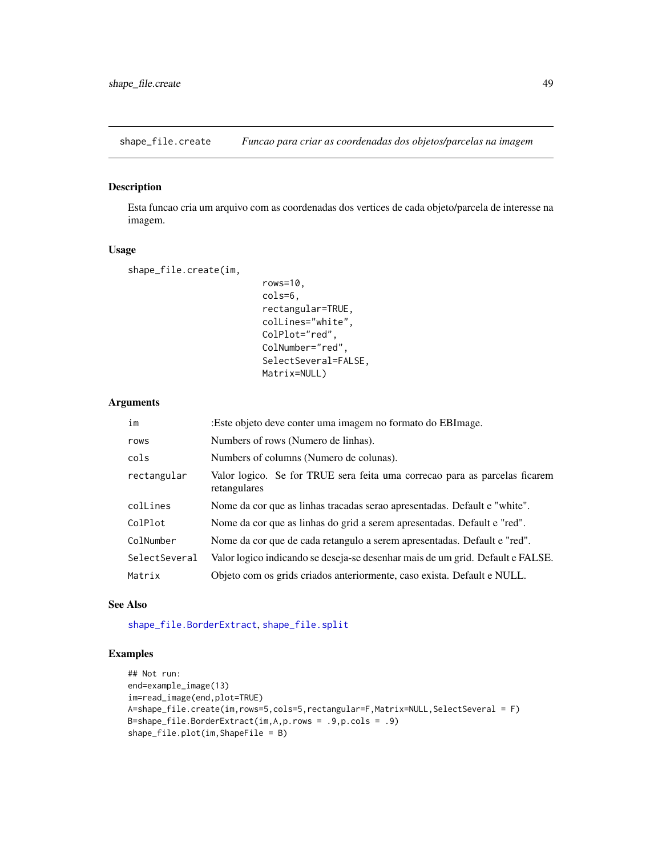<span id="page-48-1"></span><span id="page-48-0"></span>shape\_file.create *Funcao para criar as coordenadas dos objetos/parcelas na imagem*

#### Description

Esta funcao cria um arquivo com as coordenadas dos vertices de cada objeto/parcela de interesse na imagem.

# Usage

shape\_file.create(im,

```
rows=10,
cols=6,
rectangular=TRUE,
colLines="white",
ColPlot="red",
ColNumber="red",
SelectSeveral=FALSE,
Matrix=NULL)
```
#### Arguments

| im            | :Este objeto deve conter uma imagem no formato do EBImage.                                 |
|---------------|--------------------------------------------------------------------------------------------|
| rows          | Numbers of rows (Numero de linhas).                                                        |
| cols          | Numbers of columns (Numero de colunas).                                                    |
| rectangular   | Valor logico. Se for TRUE sera feita uma correcao para as parcelas ficarem<br>retangulares |
| colLines      | Nome da cor que as linhas tracadas serao apresentadas. Default e "white".                  |
| ColPlot       | Nome da cor que as linhas do grid a serem apresentadas. Default e "red".                   |
| ColNumber     | Nome da cor que de cada retangulo a serem apresentadas. Default e "red".                   |
| SelectSeveral | Valor logico indicando se deseja-se desenhar mais de um grid. Default e FALSE.             |
| Matrix        | Objeto com os grids criados anteriormente, caso exista. Default e NULL.                    |

# See Also

[shape\\_file.BorderExtract](#page-47-1), [shape\\_file.split](#page-50-1)

```
## Not run:
end=example_image(13)
im=read_image(end,plot=TRUE)
A=shape_file.create(im,rows=5,cols=5,rectangular=F,Matrix=NULL,SelectSeveral = F)
B=shape_file.BorderExtract(im,A,p.rows = .9,p.cols = .9)
shape_file.plot(im,ShapeFile = B)
```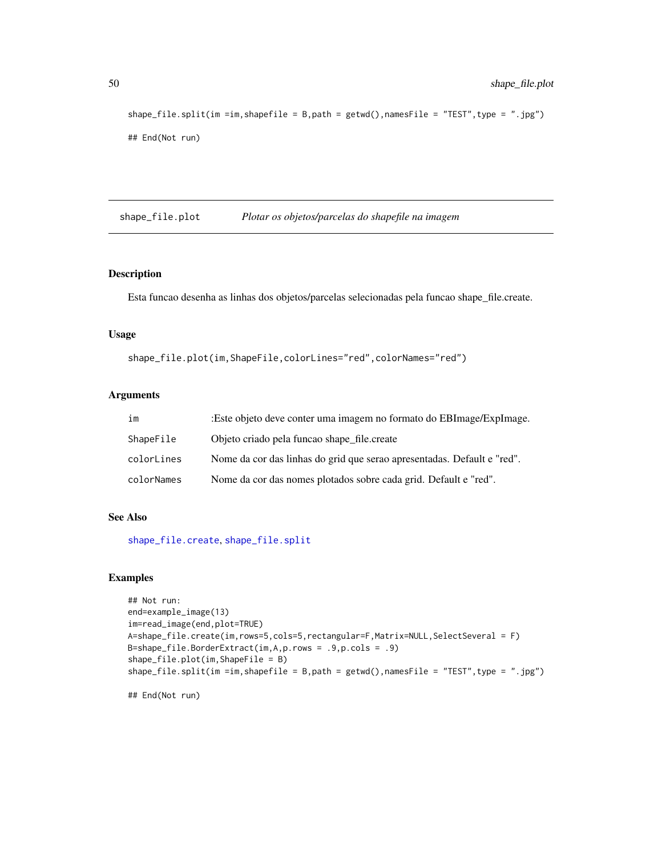```
shape_file.split(im =im,shapefile = B,path = getwd(),namesFile = "TEST",type = ".jpg")
## End(Not run)
```
shape\_file.plot *Plotar os objetos/parcelas do shapefile na imagem*

#### Description

Esta funcao desenha as linhas dos objetos/parcelas selecionadas pela funcao shape\_file.create.

# Usage

shape\_file.plot(im,ShapeFile,colorLines="red",colorNames="red")

#### Arguments

| im         | :Este objeto deve conter uma imagem no formato do EBI mage/ExpI mage.   |
|------------|-------------------------------------------------------------------------|
| ShapeFile  | Objeto criado pela funcao shape file.create                             |
| colorLines | Nome da cor das linhas do grid que serao apresentadas. Default e "red". |
| colorNames | Nome da cor das nomes plotados sobre cada grid. Default e "red".        |

#### See Also

[shape\\_file.create](#page-48-1), [shape\\_file.split](#page-50-1)

```
## Not run:
end=example_image(13)
im=read_image(end,plot=TRUE)
A=shape_file.create(im,rows=5,cols=5,rectangular=F,Matrix=NULL,SelectSeveral = F)
B=shape_file.BorderExtract(im,A,p.rows = .9,p.cols = .9)
shape_file.plot(im,ShapeFile = B)
shape_file.split(im =im,shapefile = B,path = getwd(),namesFile = "TEST",type = ".jpg")
## End(Not run)
```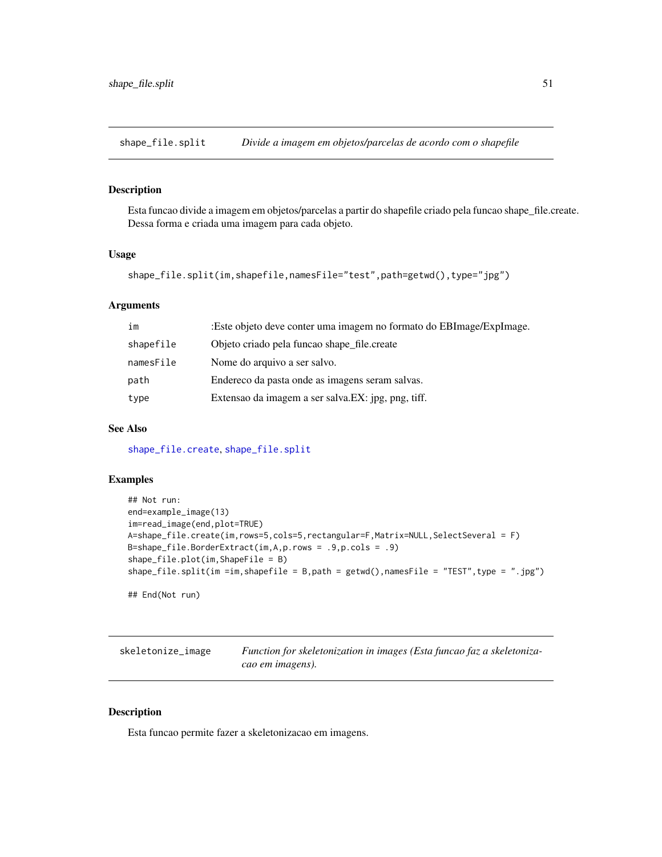<span id="page-50-1"></span><span id="page-50-0"></span>shape\_file.split *Divide a imagem em objetos/parcelas de acordo com o shapefile*

# Description

Esta funcao divide a imagem em objetos/parcelas a partir do shapefile criado pela funcao shape\_file.create. Dessa forma e criada uma imagem para cada objeto.

# Usage

```
shape_file.split(im,shapefile,namesFile="test",path=getwd(),type="jpg")
```
#### Arguments

| im        | :Este objeto deve conter uma imagem no formato do EBImage/ExpImage. |
|-----------|---------------------------------------------------------------------|
| shapefile | Objeto criado pela funcao shape_file.create                         |
| namesFile | Nome do arquivo a ser salvo.                                        |
| path      | Endereco da pasta onde as imagens seram salvas.                     |
| type      | Extensao da imagem a ser salva. EX: jpg, png, tiff.                 |
|           |                                                                     |

# See Also

[shape\\_file.create](#page-48-1), [shape\\_file.split](#page-50-1)

#### Examples

```
## Not run:
end=example_image(13)
im=read_image(end,plot=TRUE)
A=shape_file.create(im,rows=5,cols=5,rectangular=F,Matrix=NULL,SelectSeveral = F)
B=shape_file.BorderExtract(im,A,p.rows = .9,p.cols = .9)
shape_file.plot(im,ShapeFile = B)
shape_file.split(im =im,shapefile = B,path = getwd(),namesFile = "TEST",type = ".jpg")
## End(Not run)
```

| skeletonize_image | Function for skeletonization in images (Esta funcao faz a skeletoniza- |
|-------------------|------------------------------------------------------------------------|
|                   | cao em imagens).                                                       |

#### Description

Esta funcao permite fazer a skeletonizacao em imagens.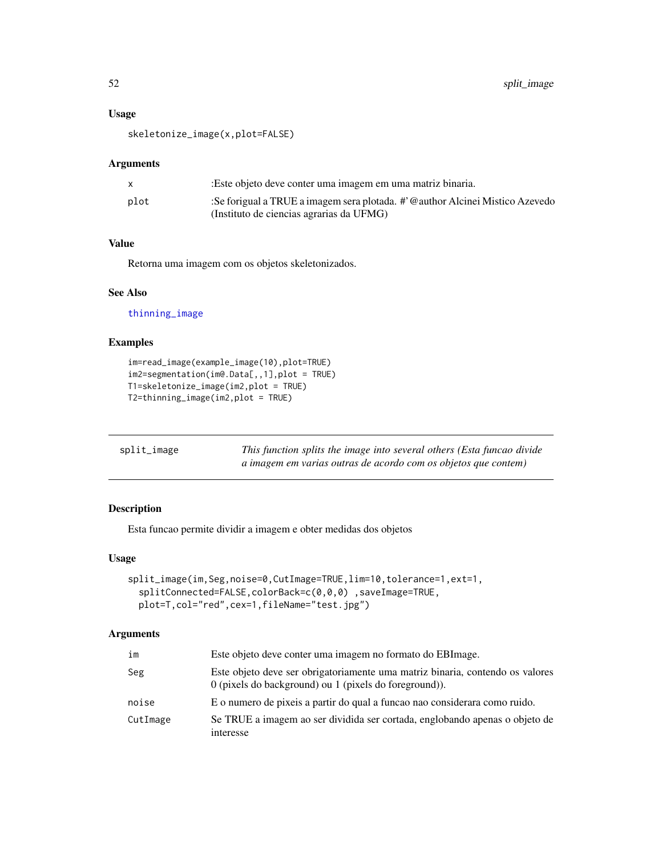# <span id="page-51-0"></span>Usage

skeletonize\_image(x,plot=FALSE)

#### Arguments

|      | Este objeto deve conter uma imagem em uma matriz binaria.                    |
|------|------------------------------------------------------------------------------|
| plot | :Se forigual a TRUE a imagem sera plotada. #'@author Alcinei Mistico Azevedo |
|      | (Instituto de ciencias agrarias da UFMG)                                     |

#### Value

Retorna uma imagem com os objetos skeletonizados.

# See Also

[thinning\\_image](#page-53-1)

# Examples

```
im=read_image(example_image(10),plot=TRUE)
im2=segmentation(im@.Data[,,1],plot = TRUE)
T1=skeletonize_image(im2,plot = TRUE)
T2=thinning_image(im2,plot = TRUE)
```

| split_image | This function splits the image into several others (Esta funcao divide |
|-------------|------------------------------------------------------------------------|
|             | a imagem em varias outras de acordo com os objetos que contem)         |

# Description

Esta funcao permite dividir a imagem e obter medidas dos objetos

# Usage

```
split_image(im,Seg,noise=0,CutImage=TRUE,lim=10,tolerance=1,ext=1,
  splitConnected=FALSE,colorBack=c(0,0,0) ,saveImage=TRUE,
 plot=T,col="red",cex=1,fileName="test.jpg")
```

| im       | Este objeto deve conter uma imagem no formato do EBI mage.                                                                                |
|----------|-------------------------------------------------------------------------------------------------------------------------------------------|
| Seg      | Este objeto deve ser obrigatoriamente uma matriz binaria, contendo os valores<br>$0$ (pixels do background) ou 1 (pixels do foreground)). |
| noise    | E o numero de pixeis a partir do qual a funcao nao considerara como ruido.                                                                |
| CutImage | Se TRUE a imagem ao ser dividida ser cortada, englobando apenas o objeto de<br>interesse                                                  |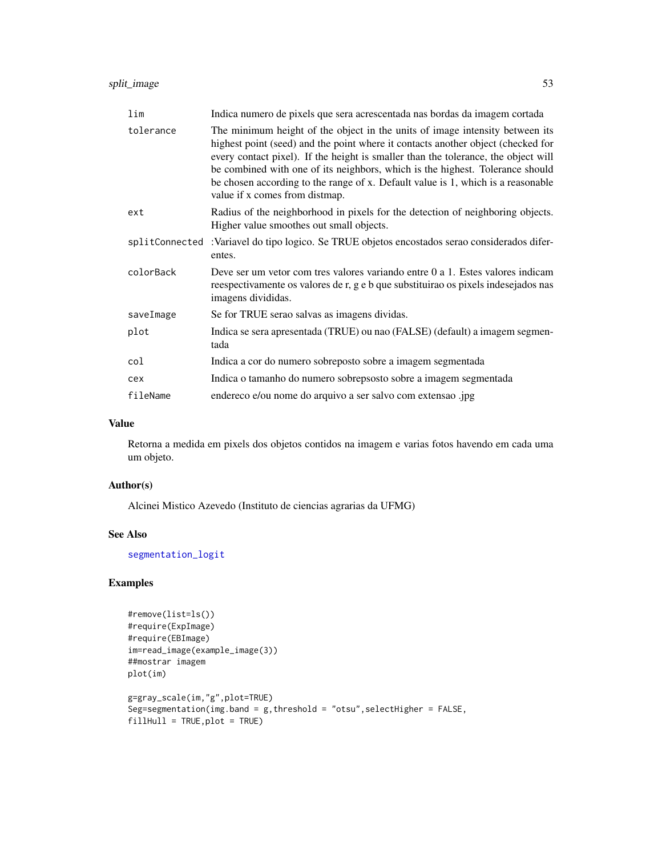<span id="page-52-0"></span>

| lim            | Indica numero de pixels que sera acrescentada nas bordas da imagem cortada                                                                                                                                                                                                                                                                                                                                                                                    |
|----------------|---------------------------------------------------------------------------------------------------------------------------------------------------------------------------------------------------------------------------------------------------------------------------------------------------------------------------------------------------------------------------------------------------------------------------------------------------------------|
| tolerance      | The minimum height of the object in the units of image intensity between its<br>highest point (seed) and the point where it contacts another object (checked for<br>every contact pixel). If the height is smaller than the tolerance, the object will<br>be combined with one of its neighbors, which is the highest. Tolerance should<br>be chosen according to the range of x. Default value is 1, which is a reasonable<br>value if x comes from distmap. |
| ext            | Radius of the neighborhood in pixels for the detection of neighboring objects.<br>Higher value smoothes out small objects.                                                                                                                                                                                                                                                                                                                                    |
| splitConnected | :Variavel do tipo logico. Se TRUE objetos encostados serao considerados difer-<br>entes.                                                                                                                                                                                                                                                                                                                                                                      |
| colorBack      | Deve ser um vetor com tres valores variando entre 0 a 1. Estes valores indicam<br>reespectivamente os valores de r, g e b que substituirao os pixels indesejados nas<br>imagens divididas.                                                                                                                                                                                                                                                                    |
| saveImage      | Se for TRUE serao salvas as imagens dividas.                                                                                                                                                                                                                                                                                                                                                                                                                  |
| plot           | Indica se sera apresentada (TRUE) ou nao (FALSE) (default) a imagem segmen-<br>tada                                                                                                                                                                                                                                                                                                                                                                           |
| col            | Indica a cor do numero sobreposto sobre a imagem segmentada                                                                                                                                                                                                                                                                                                                                                                                                   |
| cex            | Indica o tamanho do numero sobrepsosto sobre a imagem segmentada                                                                                                                                                                                                                                                                                                                                                                                              |
| fileName       | endereco e/ou nome do arquivo a ser salvo com extensao .jpg                                                                                                                                                                                                                                                                                                                                                                                                   |

Retorna a medida em pixels dos objetos contidos na imagem e varias fotos havendo em cada uma um objeto.

#### Author(s)

Alcinei Mistico Azevedo (Instituto de ciencias agrarias da UFMG)

# See Also

[segmentation\\_logit](#page-41-1)

```
#remove(list=ls())
#require(ExpImage)
#require(EBImage)
im=read_image(example_image(3))
##mostrar imagem
plot(im)
g=gray_scale(im,"g",plot=TRUE)
Seg=segmentation(img.band = g,threshold = "otsu",selectHigher = FALSE,
fillHull = TRUE, plot = TRUE)
```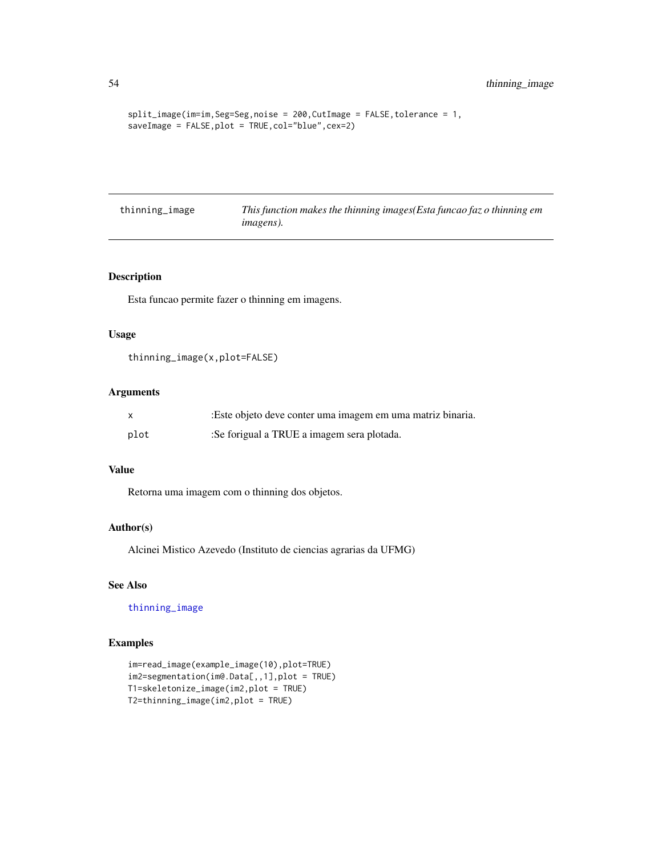```
split_image(im=im,Seg=Seg,noise = 200,CutImage = FALSE,tolerance = 1,
saveImage = FALSE,plot = TRUE,col="blue",cex=2)
```
<span id="page-53-1"></span>

| thinning_image | This function makes the thinning images (Esta funcao faz o thinning em |
|----------------|------------------------------------------------------------------------|
|                | <i>imagens</i> ).                                                      |

#### Description

Esta funcao permite fazer o thinning em imagens.

#### Usage

```
thinning_image(x,plot=FALSE)
```
# Arguments

| X    | :Este objeto deve conter uma imagem em uma matriz binaria. |
|------|------------------------------------------------------------|
| plot | :Se forigual a TRUE a imagem sera plotada.                 |

#### Value

Retorna uma imagem com o thinning dos objetos.

#### Author(s)

Alcinei Mistico Azevedo (Instituto de ciencias agrarias da UFMG)

# See Also

[thinning\\_image](#page-53-1)

```
im=read_image(example_image(10),plot=TRUE)
im2=segmentation(im@.Data[,,1],plot = TRUE)
T1=skeletonize_image(im2,plot = TRUE)
T2=thinning_image(im2,plot = TRUE)
```
<span id="page-53-0"></span>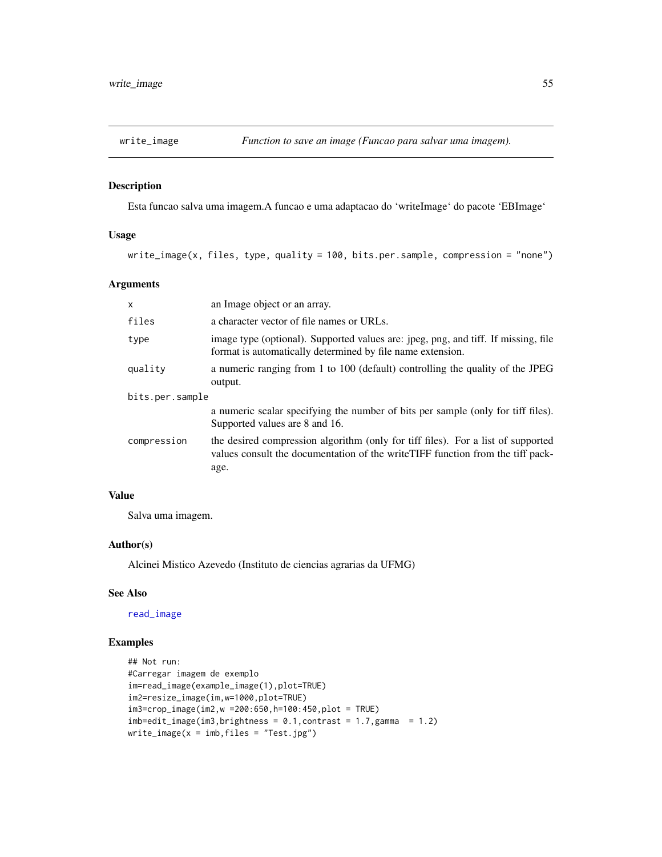<span id="page-54-0"></span>

# Description

Esta funcao salva uma imagem.A funcao e uma adaptacao do 'writeImage' do pacote 'EBImage'

#### Usage

write\_image(x, files, type, quality = 100, bits.per.sample, compression = "none")

# Arguments

| an Image object or an array.                                                                                                                                                |  |  |
|-----------------------------------------------------------------------------------------------------------------------------------------------------------------------------|--|--|
| a character vector of file names or URLs.                                                                                                                                   |  |  |
| image type (optional). Supported values are: jpeg, png, and tiff. If missing, file<br>format is automatically determined by file name extension.                            |  |  |
| a numeric ranging from 1 to 100 (default) controlling the quality of the JPEG<br>output.                                                                                    |  |  |
| bits.per.sample                                                                                                                                                             |  |  |
| a numeric scalar specifying the number of bits per sample (only for tiff files).<br>Supported values are 8 and 16.                                                          |  |  |
| the desired compression algorithm (only for tiff files). For a list of supported<br>values consult the documentation of the write TIFF function from the tiff pack-<br>age. |  |  |
|                                                                                                                                                                             |  |  |

#### Value

Salva uma imagem.

#### Author(s)

Alcinei Mistico Azevedo (Instituto de ciencias agrarias da UFMG)

#### See Also

[read\\_image](#page-36-1)

```
## Not run:
#Carregar imagem de exemplo
im=read_image(example_image(1),plot=TRUE)
im2=resize_image(im,w=1000,plot=TRUE)
im3=crop_image(im2,w =200:650,h=100:450,plot = TRUE)
imb = edit\_image(im3, brightness = 0.1, contrast = 1.7,gamma = 1.2)write\_image(x = imb, files = "Test.jpg")
```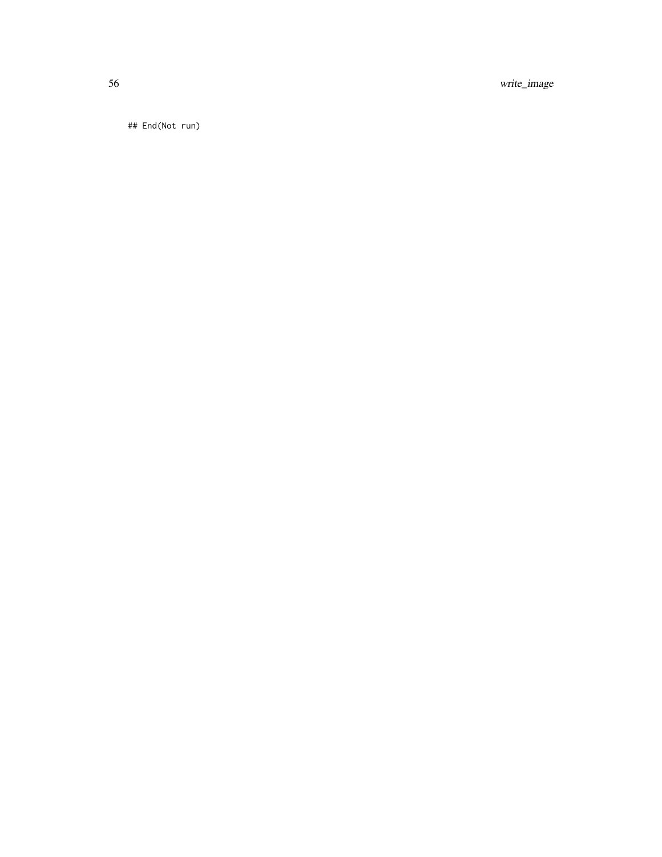56 write\_image

## End(Not run)